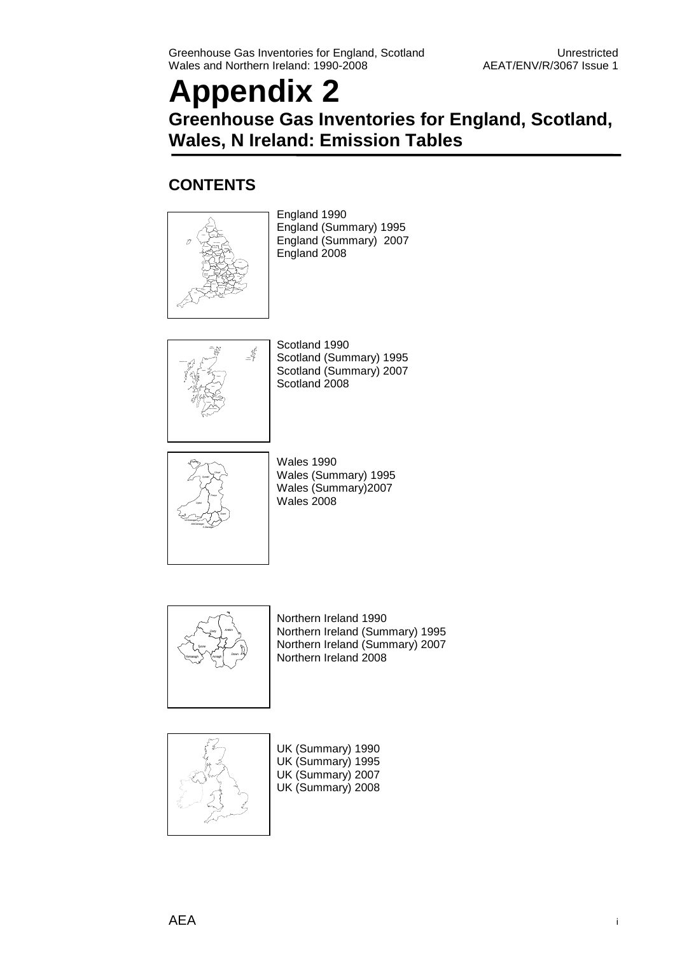## **Appendix 2 Greenhouse Gas Inventories for England, Scotland, Wales, N Ireland: Emission Tables**

### **CONTENTS**



England 1990 England (Summary) 1995 England (Summary) 2007 England 2008



Scotland 1990 Scotland (Summary) 1995 Scotland (Summary) 2007 Scotland 2008



Wales 1990 Wales (Summary) 1995 Wales (Summary)2007 Wales 2008



Northern Ireland 1990 Northern Ireland (Summary) 1995 Northern Ireland (Summary) 2007 Northern Ireland 2008



UK (Summary) 1990 UK (Summary) 1995 UK (Summary) 2007 UK (Summary) 2008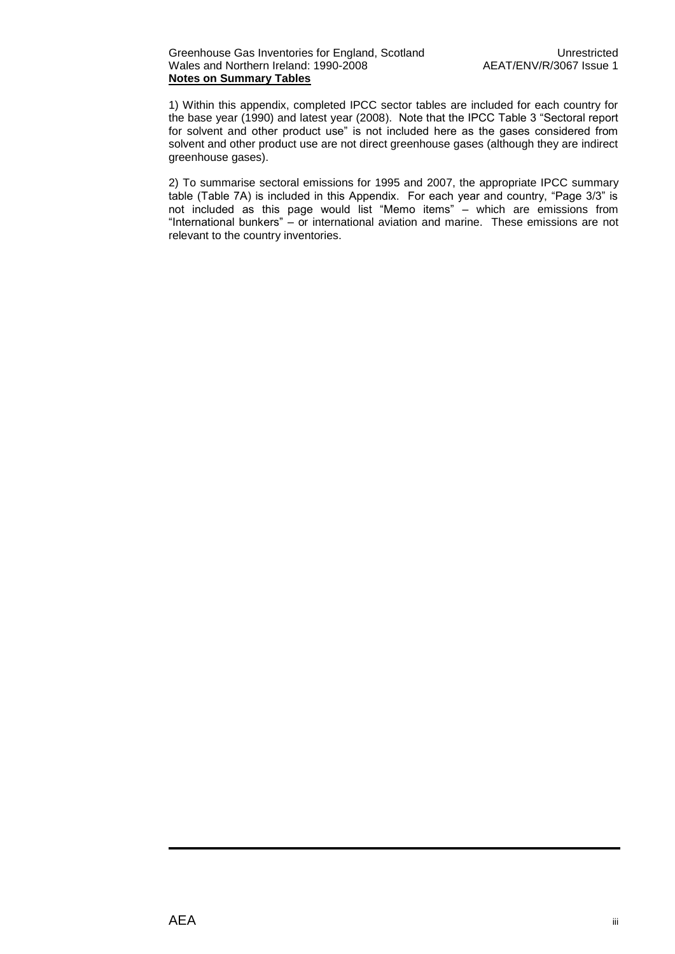1) Within this appendix, completed IPCC sector tables are included for each country for the base year (1990) and latest year (2008). Note that the IPCC Table 3 "Sectoral report for solvent and other product use" is not included here as the gases considered from solvent and other product use are not direct greenhouse gases (although they are indirect greenhouse gases).

2) To summarise sectoral emissions for 1995 and 2007, the appropriate IPCC summary table (Table 7A) is included in this Appendix. For each year and country, "Page 3/3" is not included as this page would list "Memo items" – which are emissions from "International bunkers" – or international aviation and marine. These emissions are not relevant to the country inventories.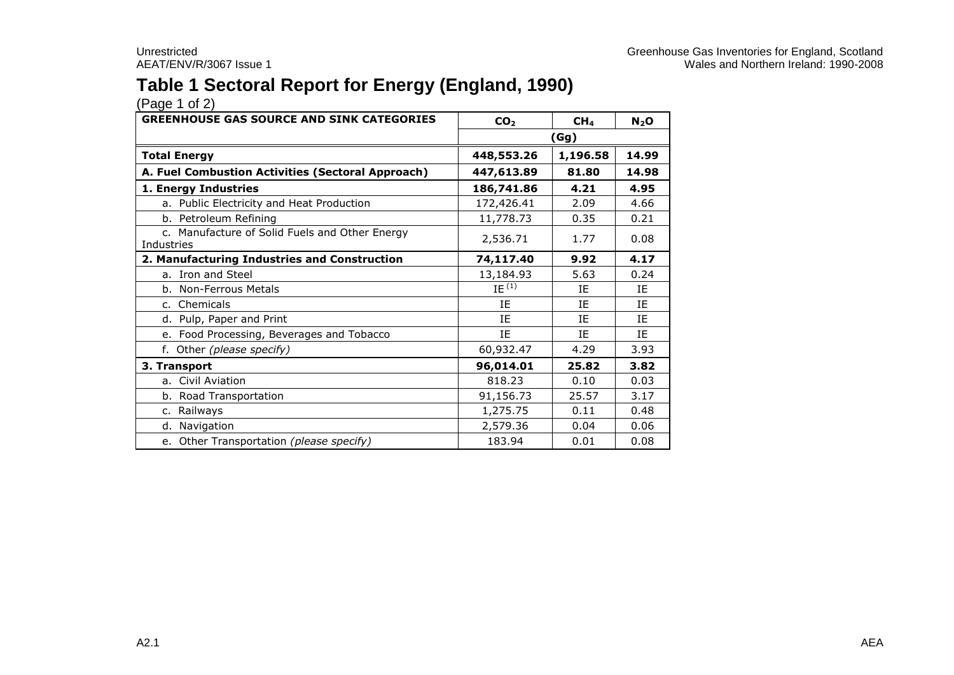## **Table 1 Sectoral Report for Energy (England, 1990)**

| <b>GREENHOUSE GAS SOURCE AND SINK CATEGORIES</b>             | CO <sub>2</sub> | CH <sub>4</sub> | $N_2$ O |  |
|--------------------------------------------------------------|-----------------|-----------------|---------|--|
|                                                              | (Gg)            |                 |         |  |
| <b>Total Energy</b>                                          | 448,553.26      | 1,196.58        | 14.99   |  |
| A. Fuel Combustion Activities (Sectoral Approach)            | 447,613.89      | 81.80           | 14.98   |  |
| 1. Energy Industries                                         | 186,741.86      | 4.21            | 4.95    |  |
| a. Public Electricity and Heat Production                    | 172,426.41      | 2.09            | 4.66    |  |
| b. Petroleum Refining                                        | 11,778.73       | 0.35            | 0.21    |  |
| c. Manufacture of Solid Fuels and Other Energy<br>Industries | 2,536.71        | 1.77            | 0.08    |  |
| 2. Manufacturing Industries and Construction                 | 74,117.40       | 9.92            | 4.17    |  |
| a. Iron and Steel                                            | 13,184.93       | 5.63            | 0.24    |  |
| b. Non-Ferrous Metals                                        | $IE^{(1)}$      | ΙE              | ΙE      |  |
| c. Chemicals                                                 | IE              | ΙF              | ΙF      |  |
| d. Pulp, Paper and Print                                     | IE              | ΙE              | ΙE      |  |
| e. Food Processing, Beverages and Tobacco                    | IE              | IE              | ΙE      |  |
| f. Other (please specify)                                    | 60,932.47       | 4.29            | 3.93    |  |
| 3. Transport                                                 | 96,014.01       | 25.82           | 3.82    |  |
| a. Civil Aviation                                            | 818.23          | 0.10            | 0.03    |  |
| b. Road Transportation                                       | 91,156.73       | 25.57           | 3.17    |  |
| c. Railways                                                  | 1,275.75        | 0.11            | 0.48    |  |
| d. Navigation                                                | 2,579.36        | 0.04            | 0.06    |  |
| e. Other Transportation (please specify)                     | 183.94          | 0.01            | 0.08    |  |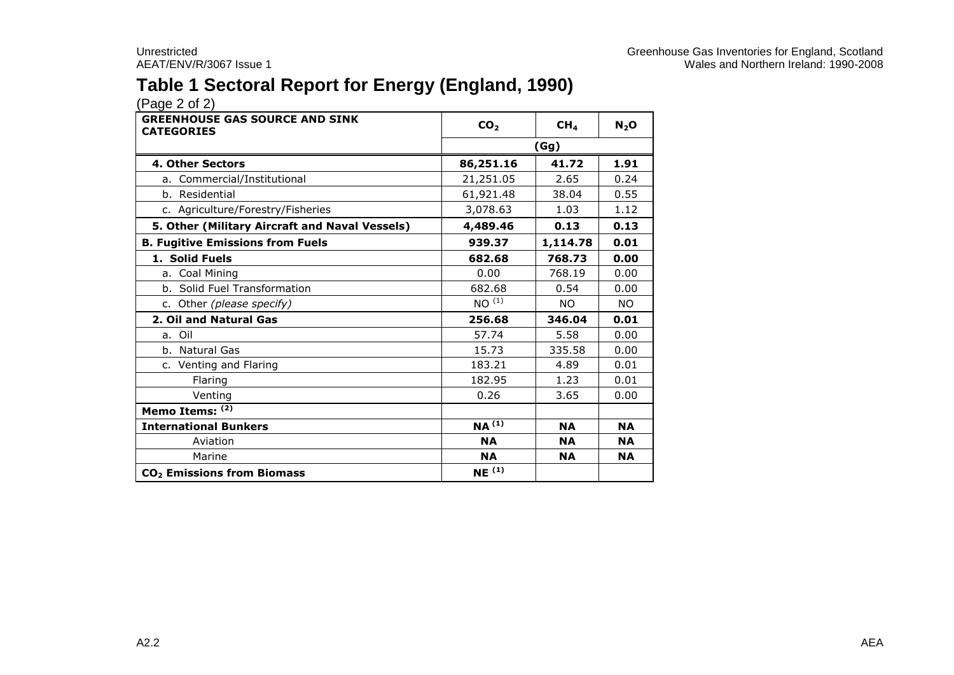## **Table 1 Sectoral Report for Energy (England, 1990)**

| <b>GREENHOUSE GAS SOURCE AND SINK</b><br><b>CATEGORIES</b> | CO <sub>2</sub>   | CH <sub>4</sub> | $N_2$ O   |  |  |
|------------------------------------------------------------|-------------------|-----------------|-----------|--|--|
|                                                            | (Gg)              |                 |           |  |  |
| 4. Other Sectors                                           | 86,251.16         | 1.91            |           |  |  |
| a. Commercial/Institutional                                | 21,251.05         | 2.65            | 0.24      |  |  |
| b. Residential                                             | 61,921.48         | 38.04           | 0.55      |  |  |
| c. Agriculture/Forestry/Fisheries                          | 3,078.63          | 1.03            | 1.12      |  |  |
| 5. Other (Military Aircraft and Naval Vessels)             | 4,489.46          | 0.13            | 0.13      |  |  |
| <b>B. Fugitive Emissions from Fuels</b>                    | 939.37            | 1,114.78        | 0.01      |  |  |
| 1. Solid Fuels                                             | 682.68            | 768.73          | 0.00      |  |  |
| a. Coal Mining                                             | 0.00              | 768.19          | 0.00      |  |  |
| b. Solid Fuel Transformation                               | 682.68            | 0.54            | 0.00      |  |  |
| c. Other (please specify)                                  | NO <sup>(1)</sup> | NO.             | <b>NO</b> |  |  |
| 2. Oil and Natural Gas                                     | 256.68            | 346.04          | 0.01      |  |  |
| a. Oil                                                     | 57.74             | 5.58            | 0.00      |  |  |
| b. Natural Gas                                             | 15.73             | 335.58          | 0.00      |  |  |
| c. Venting and Flaring                                     | 183.21            | 4.89            | 0.01      |  |  |
| Flaring                                                    | 182.95            | 1.23            | 0.01      |  |  |
| Venting                                                    | 0.26              | 3.65            | 0.00      |  |  |
| Memo Items: (2)                                            |                   |                 |           |  |  |
| <b>International Bunkers</b>                               | $NA^{(1)}$        | <b>NA</b>       | <b>NA</b> |  |  |
| Aviation                                                   | <b>NA</b>         | <b>NA</b>       | <b>NA</b> |  |  |
| Marine                                                     | <b>NA</b>         | <b>NA</b>       | <b>NA</b> |  |  |
| CO <sub>2</sub> Emissions from Biomass                     | NE <sup>(1)</sup> |                 |           |  |  |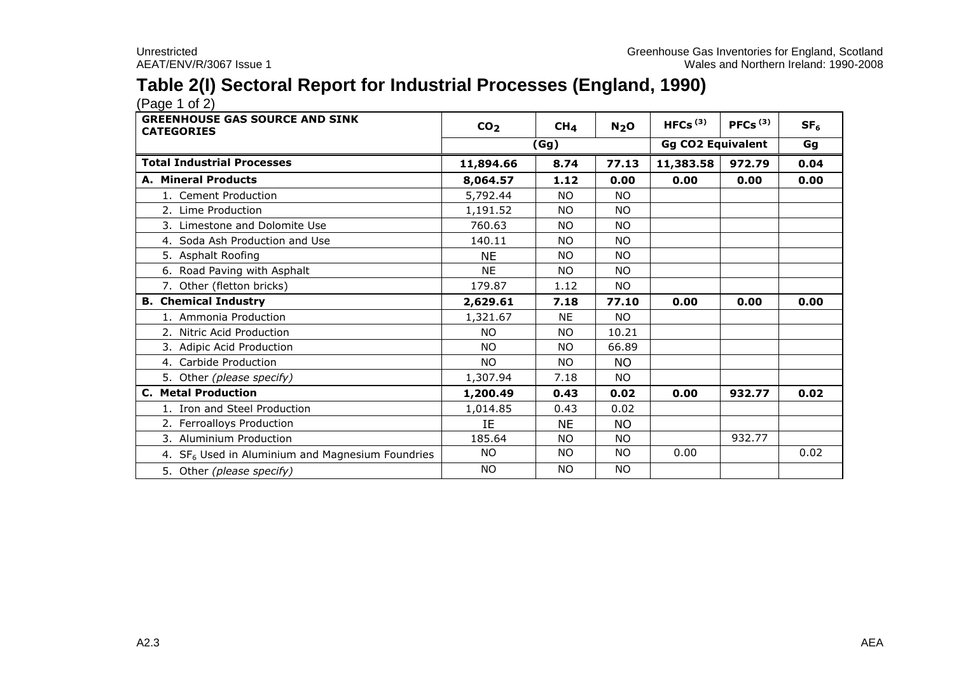## **Table 2(I) Sectoral Report for Industrial Processes (England, 1990)**

 $(Pa^2 \cdot 1)$ 

| <b>GREENHOUSE GAS SOURCE AND SINK</b><br><b>CATEGORIES</b>   | CO <sub>2</sub> | CH <sub>4</sub> | N <sub>2</sub> O | HFCs $(3)$               | PFCs $(3)$ | SF <sub>6</sub> |
|--------------------------------------------------------------|-----------------|-----------------|------------------|--------------------------|------------|-----------------|
|                                                              |                 | (Gg)            |                  | <b>Gg CO2 Equivalent</b> | Gg         |                 |
| <b>Total Industrial Processes</b>                            | 11,894.66       | 8.74            | 77.13            | 11,383.58                | 972.79     | 0.04            |
| A. Mineral Products                                          | 8,064.57        | 1.12            | 0.00             | 0.00                     | 0.00       | 0.00            |
| 1. Cement Production                                         | 5,792.44        | NO.             | <b>NO</b>        |                          |            |                 |
| 2. Lime Production                                           | 1,191.52        | <b>NO</b>       | <b>NO</b>        |                          |            |                 |
| 3. Limestone and Dolomite Use                                | 760.63          | <b>NO</b>       | <b>NO</b>        |                          |            |                 |
| 4. Soda Ash Production and Use                               | 140.11          | <b>NO</b>       | NO.              |                          |            |                 |
| 5. Asphalt Roofing                                           | <b>NE</b>       | <b>NO</b>       | NO.              |                          |            |                 |
| 6. Road Paving with Asphalt                                  | NE.             | <b>NO</b>       | <b>NO</b>        |                          |            |                 |
| 7. Other (fletton bricks)                                    | 179.87          | 1.12            | <b>NO</b>        |                          |            |                 |
| <b>B. Chemical Industry</b>                                  | 2,629.61        | 7.18            | 77.10            | 0.00                     | 0.00       | 0.00            |
| 1. Ammonia Production                                        | 1,321.67        | <b>NE</b>       | <b>NO</b>        |                          |            |                 |
| 2. Nitric Acid Production                                    | <b>NO</b>       | <b>NO</b>       | 10.21            |                          |            |                 |
| 3. Adipic Acid Production                                    | <b>NO</b>       | <b>NO</b>       | 66.89            |                          |            |                 |
| 4. Carbide Production                                        | <b>NO</b>       | <b>NO</b>       | <b>NO</b>        |                          |            |                 |
| 5. Other (please specify)                                    | 1,307.94        | 7.18            | NO.              |                          |            |                 |
| <b>C. Metal Production</b>                                   | 1,200.49        | 0.43            | 0.02             | 0.00                     | 932.77     | 0.02            |
| 1. Iron and Steel Production                                 | 1,014.85        | 0.43            | 0.02             |                          |            |                 |
| 2. Ferroalloys Production                                    | IE              | <b>NE</b>       | <b>NO</b>        |                          |            |                 |
| 3. Aluminium Production                                      | 185.64          | NO.             | <b>NO</b>        |                          | 932.77     |                 |
| 4. SF <sub>6</sub> Used in Aluminium and Magnesium Foundries | NO.             | <b>NO</b>       | <b>NO</b>        | 0.00                     |            | 0.02            |
| 5. Other (please specify)                                    | <b>NO</b>       | <b>NO</b>       | <b>NO</b>        |                          |            |                 |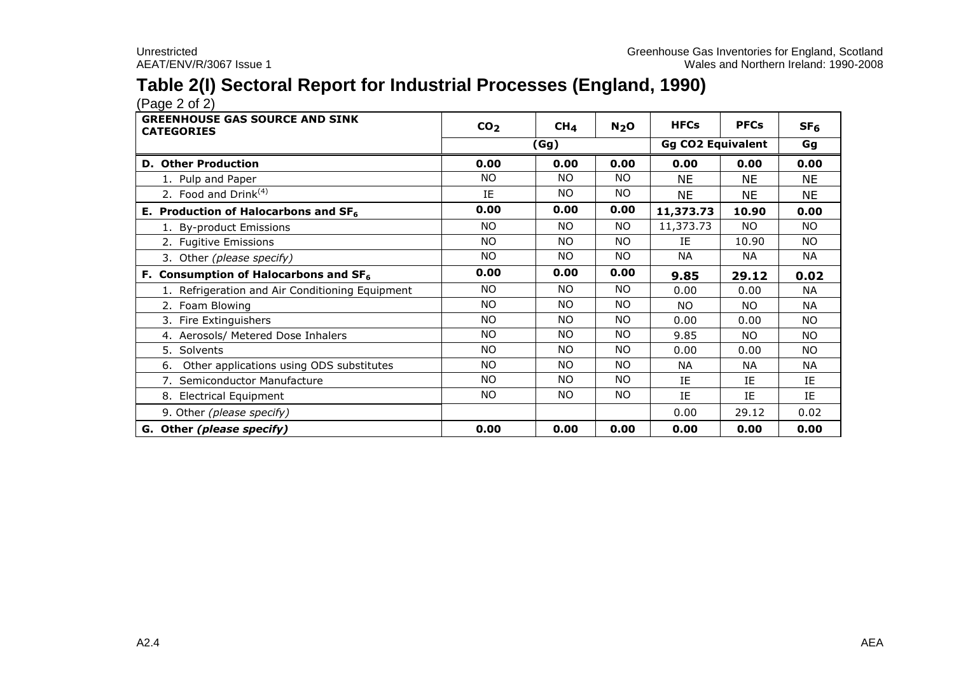## **Table 2(I) Sectoral Report for Industrial Processes (England, 1990)**

 $(Pa^2 \circ 2)$ 

| <b>GREENHOUSE GAS SOURCE AND SINK</b><br><b>CATEGORIES</b> | CO <sub>2</sub> | CH <sub>4</sub> | N <sub>2</sub> O | <b>HFCs</b>              | <b>PFCs</b> | SF <sub>6</sub> |
|------------------------------------------------------------|-----------------|-----------------|------------------|--------------------------|-------------|-----------------|
|                                                            |                 | (Gg)            |                  | <b>Gg CO2 Equivalent</b> |             | Gg              |
| <b>D. Other Production</b>                                 | 0.00            | 0.00            | 0.00             | 0.00                     | 0.00        | 0.00            |
| 1. Pulp and Paper                                          | <b>NO</b>       | <b>NO</b>       | NO.              | NE.                      | <b>NE</b>   | <b>NE</b>       |
| 2. Food and Drink $(4)$                                    | IE              | <b>NO</b>       | NO.              | <b>NE</b>                | <b>NE</b>   | <b>NE</b>       |
| E. Production of Halocarbons and $SF6$                     | 0.00            | 0.00            | 0.00             | 11,373.73                | 10.90       | 0.00            |
| 1. By-product Emissions                                    | <b>NO</b>       | <b>NO</b>       | NO.              | 11,373.73                | NO.         | NO.             |
| 2. Fugitive Emissions                                      | <b>NO</b>       | <b>NO</b>       | NO.              | ΙE                       | 10.90       | <b>NO</b>       |
| 3. Other (please specify)                                  | <b>NO</b>       | NO.             | NO.              | NА                       | NА          | NА              |
| F. Consumption of Halocarbons and $SF6$                    | 0.00            | 0.00            | 0.00             | 9.85                     | 29.12       | 0.02            |
| 1. Refrigeration and Air Conditioning Equipment            | <b>NO</b>       | <b>NO</b>       | NO.              | 0.00                     | 0.00        | NA              |
| 2. Foam Blowing                                            | <b>NO</b>       | NO.             | NO.              | NO.                      | NO.         | <b>NA</b>       |
| 3. Fire Extinguishers                                      | <b>NO</b>       | <b>NO</b>       | <b>NO</b>        | 0.00                     | 0.00        | NO.             |
| 4. Aerosols/ Metered Dose Inhalers                         | <b>NO</b>       | NO.             | <b>NO</b>        | 9.85                     | NO.         | NO.             |
| 5. Solvents                                                | <b>NO</b>       | <b>NO</b>       | <b>NO</b>        | 0.00                     | 0.00        | <b>NO</b>       |
| Other applications using ODS substitutes<br>6.             | <b>NO</b>       | <b>NO</b>       | NO.              | <b>NA</b>                | <b>NA</b>   | <b>NA</b>       |
| 7. Semiconductor Manufacture                               | <b>NO</b>       | <b>NO</b>       | <b>NO</b>        | IE                       | IE          | IE              |
| 8. Electrical Equipment                                    | NO.             | NO.             | NO.              | ΙE                       | IE          | IE              |
| 9. Other (please specify)                                  |                 |                 |                  | 0.00                     | 29.12       | 0.02            |
| G. Other (please specify)                                  | 0.00            | 0.00            | 0.00             | 0.00                     | 0.00        | 0.00            |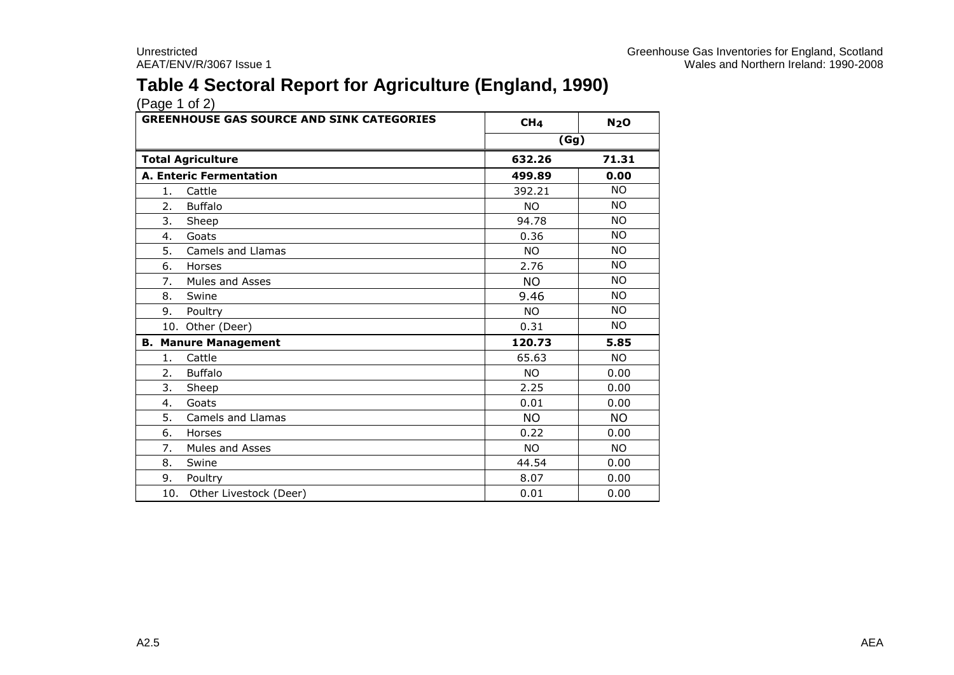## **Table 4 Sectoral Report for Agriculture (England, 1990)**

| <b>GREENHOUSE GAS SOURCE AND SINK CATEGORIES</b> | CH <sub>4</sub> | N <sub>2</sub> O |  |
|--------------------------------------------------|-----------------|------------------|--|
|                                                  | (Gg)            |                  |  |
| <b>Total Agriculture</b>                         | 632.26          | 71.31            |  |
| <b>A. Enteric Fermentation</b>                   | 499.89          | 0.00             |  |
| Cattle<br>1.                                     | 392.21          | <b>NO</b>        |  |
| 2.<br><b>Buffalo</b>                             | <b>NO</b>       | <b>NO</b>        |  |
| 3.<br>Sheep                                      | 94.78           | NO.              |  |
| Goats<br>4.                                      | 0.36            | <b>NO</b>        |  |
| <b>Camels and Llamas</b><br>5.                   | <b>NO</b>       | <b>NO</b>        |  |
| 6.<br>Horses                                     | 2.76            | NO.              |  |
| 7.<br><b>Mules and Asses</b>                     | <b>NO</b>       | <b>NO</b>        |  |
| 8.<br>Swine                                      | 9.46            | <b>NO</b>        |  |
| 9. Poultry                                       | <b>NO</b>       | <b>NO</b>        |  |
| 10. Other (Deer)                                 | 0.31            | <b>NO</b>        |  |
| <b>B. Manure Management</b>                      | 120.73          | 5.85             |  |
| Cattle<br>1.                                     | 65.63           | <b>NO</b>        |  |
| <b>Buffalo</b><br>2.                             | <b>NO</b>       | 0.00             |  |
| 3.<br>Sheep                                      | 2.25            | 0.00             |  |
| Goats<br>4.                                      | 0.01            | 0.00             |  |
| 5.<br>Camels and Llamas                          | <b>NO</b>       | <b>NO</b>        |  |
| 6.<br>Horses                                     | 0.22            | 0.00             |  |
| Mules and Asses<br>7.                            | <b>NO</b>       | <b>NO</b>        |  |
| 8.<br>Swine                                      | 44.54           | 0.00             |  |
| 9.<br>Poultry                                    | 8.07            | 0.00             |  |
| 10. Other Livestock (Deer)                       | 0.01            | 0.00             |  |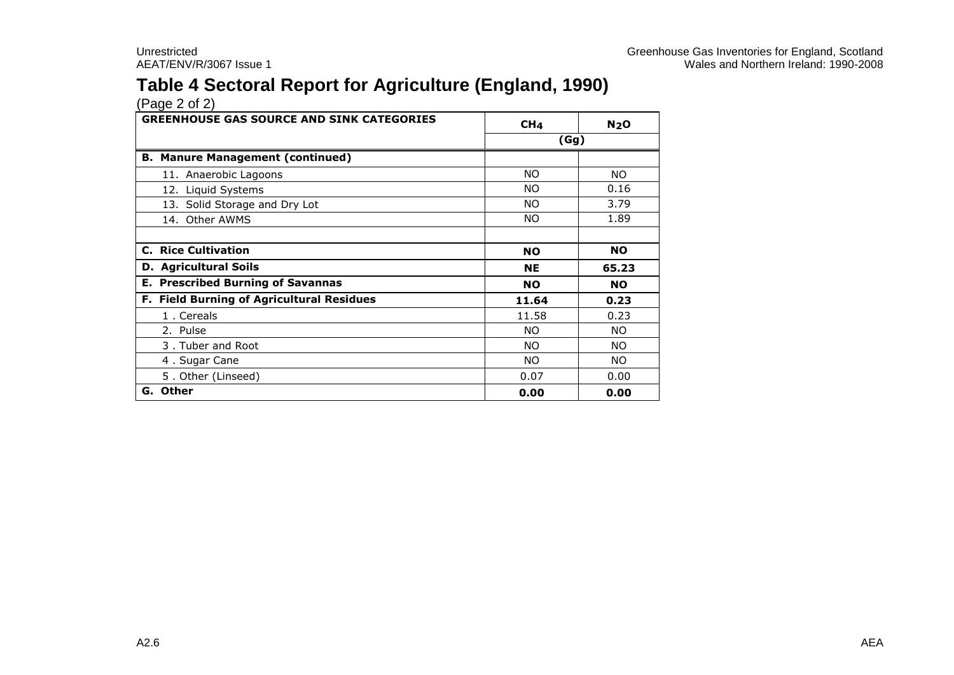## **Table 4 Sectoral Report for Agriculture (England, 1990)**

| <b>GREENHOUSE GAS SOURCE AND SINK CATEGORIES</b> | CH <sub>4</sub> | N <sub>2</sub> O |  |
|--------------------------------------------------|-----------------|------------------|--|
|                                                  | (Gg)            |                  |  |
| <b>B. Manure Management (continued)</b>          |                 |                  |  |
| 11. Anaerobic Lagoons                            | <b>NO</b>       | NO.              |  |
| 12. Liquid Systems                               | NO.             | 0.16             |  |
| 13. Solid Storage and Dry Lot                    | NO.             | 3.79             |  |
| 14. Other AWMS                                   | NO.             | 1.89             |  |
|                                                  |                 |                  |  |
| <b>C. Rice Cultivation</b>                       | <b>NO</b>       | <b>NO</b>        |  |
| <b>D.</b> Agricultural Soils                     | <b>NE</b>       | 65.23            |  |
| <b>E. Prescribed Burning of Savannas</b>         | <b>NO</b>       | NO.              |  |
| F. Field Burning of Agricultural Residues        | 11.64           | 0.23             |  |
| 1. Cereals                                       | 11.58           | 0.23             |  |
| 2. Pulse                                         | NO.             | NO.              |  |
| 3. Tuber and Root                                | NO.             | NO.              |  |
| 4. Sugar Cane                                    | NO.             | NO.              |  |
| 5. Other (Linseed)                               | 0.07            | 0.00             |  |
| G. Other                                         | 0.00            | 0.00             |  |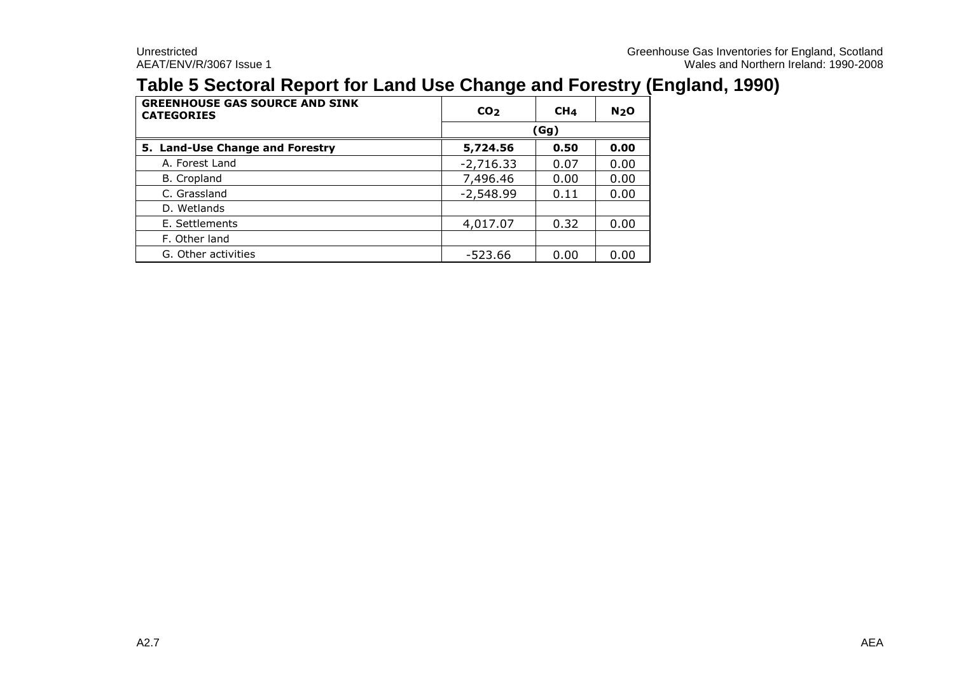## **Table 5 Sectoral Report for Land Use Change and Forestry (England, 1990)**

| <b>GREENHOUSE GAS SOURCE AND SINK</b><br><b>CATEGORIES</b> | CO <sub>2</sub> | CH <sub>4</sub> | N <sub>2</sub> O |  |  |  |
|------------------------------------------------------------|-----------------|-----------------|------------------|--|--|--|
|                                                            |                 | (Gg)            |                  |  |  |  |
| 5. Land-Use Change and Forestry                            | 5,724.56        | 0.50            | 0.00             |  |  |  |
| A. Forest Land                                             | $-2,716.33$     | 0.07            | 0.00             |  |  |  |
| B. Cropland                                                | 7,496.46        | 0.00            | 0.00             |  |  |  |
| C. Grassland                                               | $-2,548.99$     | 0.11            | 0.00             |  |  |  |
| D. Wetlands                                                |                 |                 |                  |  |  |  |
| E. Settlements                                             | 4,017.07        | 0.32            | 0.00             |  |  |  |
| F. Other land                                              |                 |                 |                  |  |  |  |
| G. Other activities                                        | $-523.66$       | 0.00            | 0.00             |  |  |  |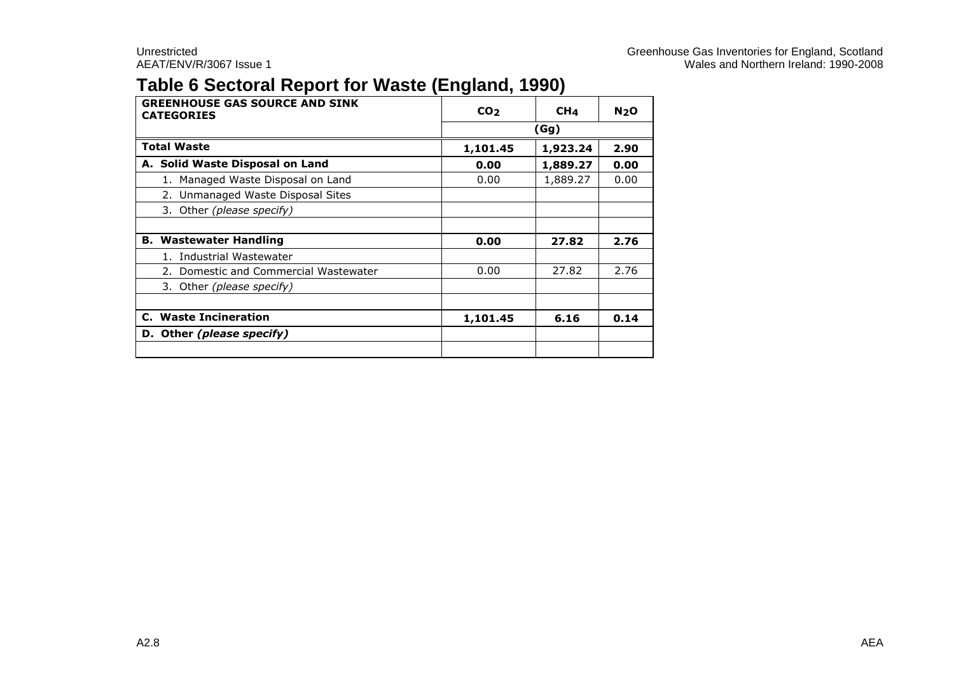## **Table 6 Sectoral Report for Waste (England, 1990)**

| <b>GREENHOUSE GAS SOURCE AND SINK</b><br><b>CATEGORIES</b> | CO <sub>2</sub> | CH <sub>4</sub> | N <sub>2</sub> O |  |  |  |
|------------------------------------------------------------|-----------------|-----------------|------------------|--|--|--|
|                                                            |                 | (Gg)            |                  |  |  |  |
| <b>Total Waste</b>                                         | 1,101.45        | 1,923.24        | 2.90             |  |  |  |
| A. Solid Waste Disposal on Land                            | 0.00            | 1,889.27        | 0.00             |  |  |  |
| 1. Managed Waste Disposal on Land                          | 0.00            | 1,889.27        | 0.00             |  |  |  |
| 2. Unmanaged Waste Disposal Sites                          |                 |                 |                  |  |  |  |
| 3. Other (please specify)                                  |                 |                 |                  |  |  |  |
|                                                            |                 |                 |                  |  |  |  |
| <b>B. Wastewater Handling</b>                              | 0.00            | 27.82           | 2.76             |  |  |  |
| Industrial Wastewater                                      |                 |                 |                  |  |  |  |
| Domestic and Commercial Wastewater                         | 0.00            | 27.82           | 2.76             |  |  |  |
| 3. Other (please specify)                                  |                 |                 |                  |  |  |  |
|                                                            |                 |                 |                  |  |  |  |
| <b>C.</b> Waste Incineration                               | 1,101.45        | 6.16            | 0.14             |  |  |  |
| D. Other (please specify)                                  |                 |                 |                  |  |  |  |
|                                                            |                 |                 |                  |  |  |  |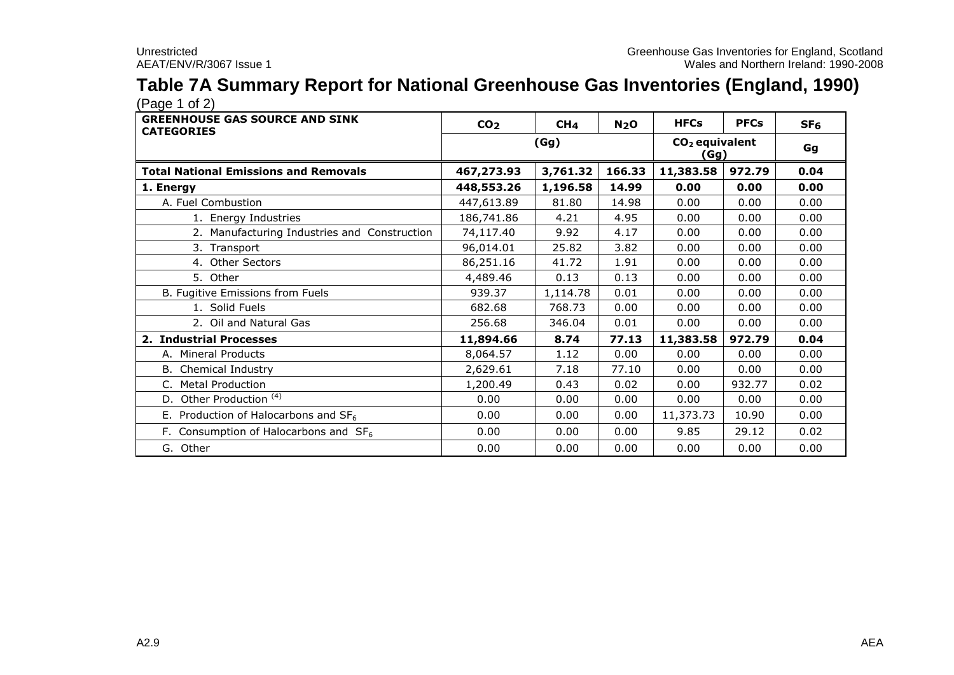#### **Table 7A Summary Report for National Greenhouse Gas Inventories (England, 1990)**  $(Pane 1 of 2)$

| $(1.490 + 0.4)$                                            |                 |                 |                          |             |             |                 |
|------------------------------------------------------------|-----------------|-----------------|--------------------------|-------------|-------------|-----------------|
| <b>GREENHOUSE GAS SOURCE AND SINK</b><br><b>CATEGORIES</b> | CO <sub>2</sub> | CH <sub>4</sub> | N <sub>2</sub> O         | <b>HFCs</b> | <b>PFCs</b> | SF <sub>6</sub> |
|                                                            |                 | (Gg)            | $CO2$ equivalent<br>(Gg) | Gg          |             |                 |
| <b>Total National Emissions and Removals</b>               | 467,273.93      | 3,761.32        | 166.33                   | 11,383.58   | 972.79      | 0.04            |
| 1. Energy                                                  | 448,553.26      | 1,196.58        | 14.99                    | 0.00        | 0.00        | 0.00            |
| A. Fuel Combustion                                         | 447,613.89      | 81.80           | 14.98                    | 0.00        | 0.00        | 0.00            |
| 1. Energy Industries                                       | 186,741.86      | 4.21            | 4.95                     | 0.00        | 0.00        | 0.00            |
| 2. Manufacturing Industries and Construction               | 74,117.40       | 9.92            | 4.17                     | 0.00        | 0.00        | 0.00            |
| 3. Transport                                               | 96,014.01       | 25.82           | 3.82                     | 0.00        | 0.00        | 0.00            |
| 4. Other Sectors                                           | 86,251.16       | 41.72           | 1.91                     | 0.00        | 0.00        | 0.00            |
| 5. Other                                                   | 4,489.46        | 0.13            | 0.13                     | 0.00        | 0.00        | 0.00            |
| B. Fugitive Emissions from Fuels                           | 939.37          | 1,114.78        | 0.01                     | 0.00        | 0.00        | 0.00            |
| 1. Solid Fuels                                             | 682.68          | 768.73          | 0.00                     | 0.00        | 0.00        | 0.00            |
| 2. Oil and Natural Gas                                     | 256.68          | 346.04          | 0.01                     | 0.00        | 0.00        | 0.00            |
| 2. Industrial Processes                                    | 11,894.66       | 8.74            | 77.13                    | 11,383.58   | 972.79      | 0.04            |
| A. Mineral Products                                        | 8,064.57        | 1.12            | 0.00                     | 0.00        | 0.00        | 0.00            |
| <b>B.</b> Chemical Industry                                | 2,629.61        | 7.18            | 77.10                    | 0.00        | 0.00        | 0.00            |
| <b>Metal Production</b><br>C.                              | 1,200.49        | 0.43            | 0.02                     | 0.00        | 932.77      | 0.02            |
| D. Other Production <sup>(4)</sup>                         | 0.00            | 0.00            | 0.00                     | 0.00        | 0.00        | 0.00            |
| E. Production of Halocarbons and $SF6$                     | 0.00            | 0.00            | 0.00                     | 11,373.73   | 10.90       | 0.00            |
| F. Consumption of Halocarbons and $SF6$                    | 0.00            | 0.00            | 0.00                     | 9.85        | 29.12       | 0.02            |
| G. Other                                                   | 0.00            | 0.00            | 0.00                     | 0.00        | 0.00        | 0.00            |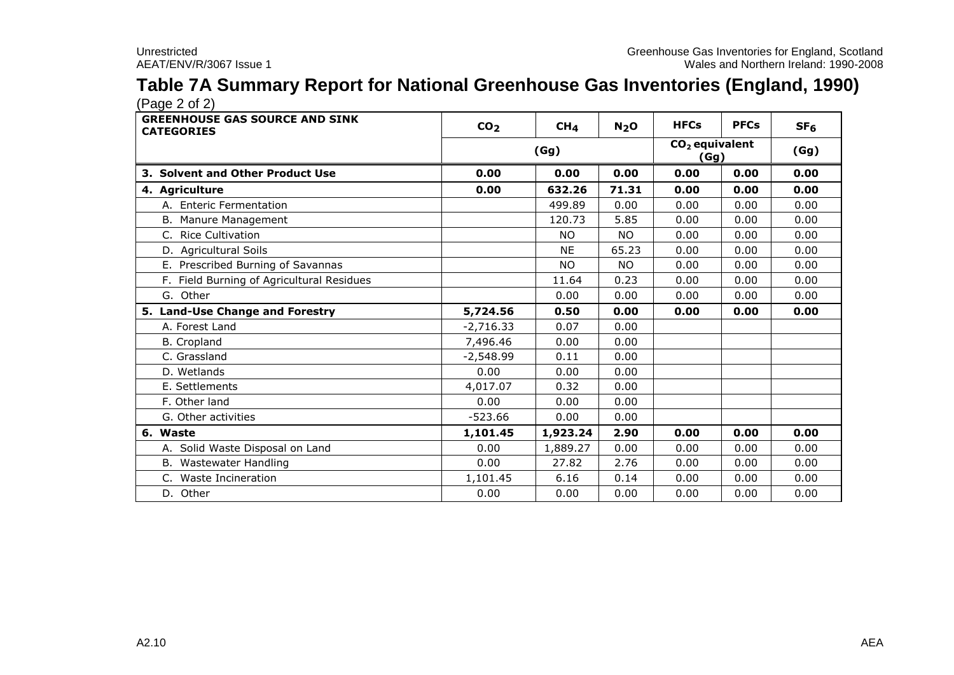### **Table 7A Summary Report for National Greenhouse Gas Inventories (England, 1990)** (Page 2 of 2)

| <b>GREENHOUSE GAS SOURCE AND SINK</b><br><b>CATEGORIES</b> | CO <sub>2</sub> | CH <sub>4</sub> | N <sub>2</sub> O | <b>HFCs</b>  | <b>PFCs</b> | SF <sub>6</sub> |
|------------------------------------------------------------|-----------------|-----------------|------------------|--------------|-------------|-----------------|
|                                                            |                 | (Gg)            |                  |              |             | (Gg)            |
| 3. Solvent and Other Product Use                           | 0.00            | 0.00            | 0.00             | (Gg)<br>0.00 | 0.00        | 0.00            |
| 4. Agriculture                                             | 0.00            | 632.26          | 71.31            | 0.00         | 0.00        | 0.00            |
| A. Enteric Fermentation                                    |                 | 499.89          | 0.00             | 0.00         | 0.00        | 0.00            |
| B. Manure Management                                       |                 | 120.73          | 5.85             | 0.00         | 0.00        | 0.00            |
| C. Rice Cultivation                                        |                 | <b>NO</b>       | NO.              | 0.00         | 0.00        | 0.00            |
| D. Agricultural Soils                                      |                 | <b>NE</b>       | 65.23            | 0.00         | 0.00        | 0.00            |
| E. Prescribed Burning of Savannas                          |                 | <b>NO</b>       | NO.              | 0.00         | 0.00        | 0.00            |
| F. Field Burning of Agricultural Residues                  |                 | 11.64           | 0.23             | 0.00         | 0.00        | 0.00            |
| G. Other                                                   |                 | 0.00            | 0.00             | 0.00         | 0.00        | 0.00            |
| 5. Land-Use Change and Forestry                            | 5,724.56        | 0.50            | 0.00             | 0.00         | 0.00        | 0.00            |
| A. Forest Land                                             | $-2,716.33$     | 0.07            | 0.00             |              |             |                 |
| <b>B.</b> Cropland                                         | 7,496.46        | 0.00            | 0.00             |              |             |                 |
| C. Grassland                                               | $-2,548.99$     | 0.11            | 0.00             |              |             |                 |
| D. Wetlands                                                | 0.00            | 0.00            | 0.00             |              |             |                 |
| E. Settlements                                             | 4,017.07        | 0.32            | 0.00             |              |             |                 |
| F. Other land                                              | 0.00            | 0.00            | 0.00             |              |             |                 |
| G. Other activities                                        | $-523.66$       | 0.00            | 0.00             |              |             |                 |
| 6. Waste                                                   | 1,101.45        | 1,923.24        | 2.90             | 0.00         | 0.00        | 0.00            |
| A. Solid Waste Disposal on Land                            | 0.00            | 1,889.27        | 0.00             | 0.00         | 0.00        | 0.00            |
| B. Wastewater Handling                                     | 0.00            | 27.82           | 2.76             | 0.00         | 0.00        | 0.00            |
| Waste Incineration<br>C.                                   | 1,101.45        | 6.16            | 0.14             | 0.00         | 0.00        | 0.00            |
| D. Other                                                   | 0.00            | 0.00            | 0.00             | 0.00         | 0.00        | 0.00            |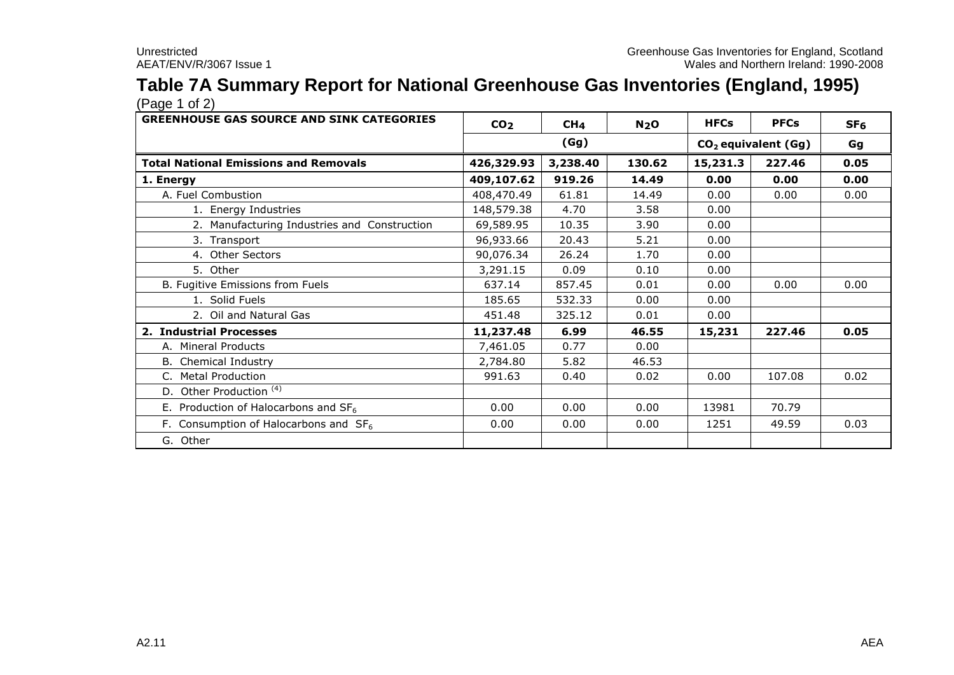# **Table 7A Summary Report for National Greenhouse Gas Inventories (England, 1995)**

| <b>GREENHOUSE GAS SOURCE AND SINK CATEGORIES</b> | CO <sub>2</sub> | CH <sub>4</sub>               | N <sub>2</sub> O | <b>HFCs</b> | <b>PFCs</b> | SF <sub>6</sub> |
|--------------------------------------------------|-----------------|-------------------------------|------------------|-------------|-------------|-----------------|
|                                                  |                 | (Gg)<br>$CO2$ equivalent (Gg) |                  |             |             | Gg              |
| <b>Total National Emissions and Removals</b>     | 426,329.93      | 3,238.40                      | 130.62           | 15,231.3    | 227.46      | 0.05            |
| 1. Energy                                        | 409,107.62      | 919.26                        | 14.49            | 0.00        | 0.00        | 0.00            |
| A. Fuel Combustion                               | 408,470.49      | 61.81                         | 14.49            | 0.00        | 0.00        | 0.00            |
| 1. Energy Industries                             | 148,579.38      | 4.70                          | 3.58             | 0.00        |             |                 |
| 2. Manufacturing Industries and Construction     | 69,589.95       | 10.35                         | 3.90             | 0.00        |             |                 |
| 3. Transport                                     | 96,933.66       | 20.43                         | 5.21             | 0.00        |             |                 |
| 4. Other Sectors                                 | 90,076.34       | 26.24                         | 1.70             | 0.00        |             |                 |
| 5. Other                                         | 3,291.15        | 0.09                          | 0.10             | 0.00        |             |                 |
| B. Fugitive Emissions from Fuels                 | 637.14          | 857.45                        | 0.01             | 0.00        | 0.00        | 0.00            |
| 1. Solid Fuels                                   | 185.65          | 532.33                        | 0.00             | 0.00        |             |                 |
| 2. Oil and Natural Gas                           | 451.48          | 325.12                        | 0.01             | 0.00        |             |                 |
| 2. Industrial Processes                          | 11,237.48       | 6.99                          | 46.55            | 15,231      | 227.46      | 0.05            |
| A. Mineral Products                              | 7,461.05        | 0.77                          | 0.00             |             |             |                 |
| <b>B.</b> Chemical Industry                      | 2,784.80        | 5.82                          | 46.53            |             |             |                 |
| <b>Metal Production</b><br>C.                    | 991.63          | 0.40                          | 0.02             | 0.00        | 107.08      | 0.02            |
| D. Other Production <sup>(4)</sup>               |                 |                               |                  |             |             |                 |
| E. Production of Halocarbons and $SF6$           | 0.00            | 0.00                          | 0.00             | 13981       | 70.79       |                 |
| F. Consumption of Halocarbons and $SF6$          | 0.00            | 0.00                          | 0.00             | 1251        | 49.59       | 0.03            |
| G. Other                                         |                 |                               |                  |             |             |                 |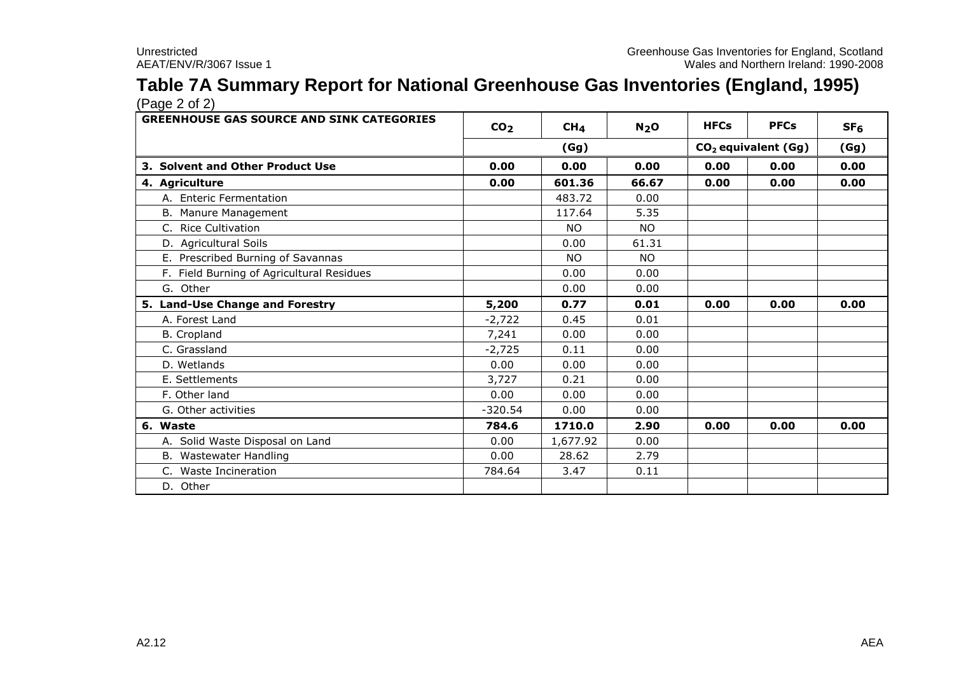### **Table 7A Summary Report for National Greenhouse Gas Inventories (England, 1995)** (Page 2 of 2)

| <b>GREENHOUSE GAS SOURCE AND SINK CATEGORIES</b> | CO <sub>2</sub> | CH <sub>4</sub> | N <sub>2</sub> O | <b>HFCs</b> | <b>PFCs</b>                     | SF <sub>6</sub> |
|--------------------------------------------------|-----------------|-----------------|------------------|-------------|---------------------------------|-----------------|
|                                                  |                 | (Gg)            |                  |             | CO <sub>2</sub> equivalent (Gg) | (Gg)            |
| 3. Solvent and Other Product Use                 | 0.00            | 0.00            | 0.00             | 0.00        | 0.00                            | 0.00            |
| 4. Agriculture                                   | 0.00            | 601.36          | 66.67            | 0.00        | 0.00                            | 0.00            |
| A. Enteric Fermentation                          |                 | 483.72          | 0.00             |             |                                 |                 |
| B. Manure Management                             |                 | 117.64          | 5.35             |             |                                 |                 |
| C. Rice Cultivation                              |                 | <b>NO</b>       | <b>NO</b>        |             |                                 |                 |
| D. Agricultural Soils                            |                 | 0.00            | 61.31            |             |                                 |                 |
| E. Prescribed Burning of Savannas                |                 | <b>NO</b>       | NO.              |             |                                 |                 |
| F. Field Burning of Agricultural Residues        |                 | 0.00            | 0.00             |             |                                 |                 |
| G. Other                                         |                 | 0.00            | 0.00             |             |                                 |                 |
| 5. Land-Use Change and Forestry                  | 5,200           | 0.77            | 0.01             | 0.00        | 0.00                            | 0.00            |
| A. Forest Land                                   | $-2,722$        | 0.45            | 0.01             |             |                                 |                 |
| B. Cropland                                      | 7,241           | 0.00            | 0.00             |             |                                 |                 |
| C. Grassland                                     | $-2,725$        | 0.11            | 0.00             |             |                                 |                 |
| D. Wetlands                                      | 0.00            | 0.00            | 0.00             |             |                                 |                 |
| E. Settlements                                   | 3,727           | 0.21            | 0.00             |             |                                 |                 |
| F. Other land                                    | 0.00            | 0.00            | 0.00             |             |                                 |                 |
| G. Other activities                              | $-320.54$       | 0.00            | 0.00             |             |                                 |                 |
| 6. Waste                                         | 784.6           | 1710.0          | 2.90             | 0.00        | 0.00                            | 0.00            |
| A. Solid Waste Disposal on Land                  | 0.00            | 1,677.92        | 0.00             |             |                                 |                 |
| B. Wastewater Handling                           | 0.00            | 28.62           | 2.79             |             |                                 |                 |
| C. Waste Incineration                            | 784.64          | 3.47            | 0.11             |             |                                 |                 |
| D. Other                                         |                 |                 |                  |             |                                 |                 |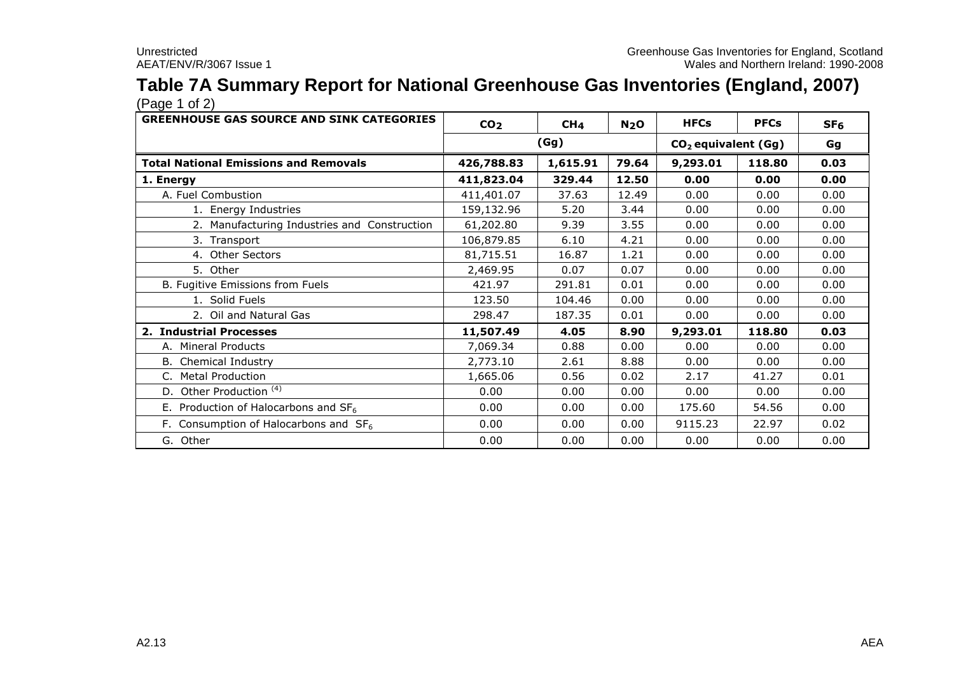# **Table 7A Summary Report for National Greenhouse Gas Inventories (England, 2007)**

| <b>GREENHOUSE GAS SOURCE AND SINK CATEGORIES</b> | CO <sub>2</sub> | CH <sub>4</sub> | N <sub>2</sub> O | <b>HFCs</b> | <b>PFCs</b>                     | SF <sub>6</sub> |
|--------------------------------------------------|-----------------|-----------------|------------------|-------------|---------------------------------|-----------------|
|                                                  |                 | (Gg)            |                  |             | CO <sub>2</sub> equivalent (Gg) | Gg              |
| <b>Total National Emissions and Removals</b>     | 426,788.83      | 1,615.91        | 79.64            | 9,293.01    | 118.80                          | 0.03            |
| 1. Energy                                        | 411,823.04      | 329.44          | 12.50            | 0.00        | 0.00                            | 0.00            |
| A. Fuel Combustion                               | 411,401.07      | 37.63           | 12.49            | 0.00        | 0.00                            | 0.00            |
| 1. Energy Industries                             | 159,132.96      | 5.20            | 3.44             | 0.00        | 0.00                            | 0.00            |
| 2. Manufacturing Industries and Construction     | 61,202.80       | 9.39            | 3.55             | 0.00        | 0.00                            | 0.00            |
| 3. Transport                                     | 106,879.85      | 6.10            | 4.21             | 0.00        | 0.00                            | 0.00            |
| 4. Other Sectors                                 | 81,715.51       | 16.87           | 1.21             | 0.00        | 0.00                            | 0.00            |
| 5. Other                                         | 2,469.95        | 0.07            | 0.07             | 0.00        | 0.00                            | 0.00            |
| B. Fugitive Emissions from Fuels                 | 421.97          | 291.81          | 0.01             | 0.00        | 0.00                            | 0.00            |
| 1. Solid Fuels                                   | 123.50          | 104.46          | 0.00             | 0.00        | 0.00                            | 0.00            |
| 2. Oil and Natural Gas                           | 298.47          | 187.35          | 0.01             | 0.00        | 0.00                            | 0.00            |
| 2. Industrial Processes                          | 11,507.49       | 4.05            | 8.90             | 9,293.01    | 118.80                          | 0.03            |
| A. Mineral Products                              | 7,069.34        | 0.88            | 0.00             | 0.00        | 0.00                            | 0.00            |
| <b>B.</b> Chemical Industry                      | 2,773.10        | 2.61            | 8.88             | 0.00        | 0.00                            | 0.00            |
| C. Metal Production                              | 1,665.06        | 0.56            | 0.02             | 2.17        | 41.27                           | 0.01            |
| Other Production <sup>(4)</sup><br>D.            | 0.00            | 0.00            | 0.00             | 0.00        | 0.00                            | 0.00            |
| E. Production of Halocarbons and $SF_6$          | 0.00            | 0.00            | 0.00             | 175.60      | 54.56                           | 0.00            |
| F. Consumption of Halocarbons and $SF6$          | 0.00            | 0.00            | 0.00             | 9115.23     | 22.97                           | 0.02            |
| G. Other                                         | 0.00            | 0.00            | 0.00             | 0.00        | 0.00                            | 0.00            |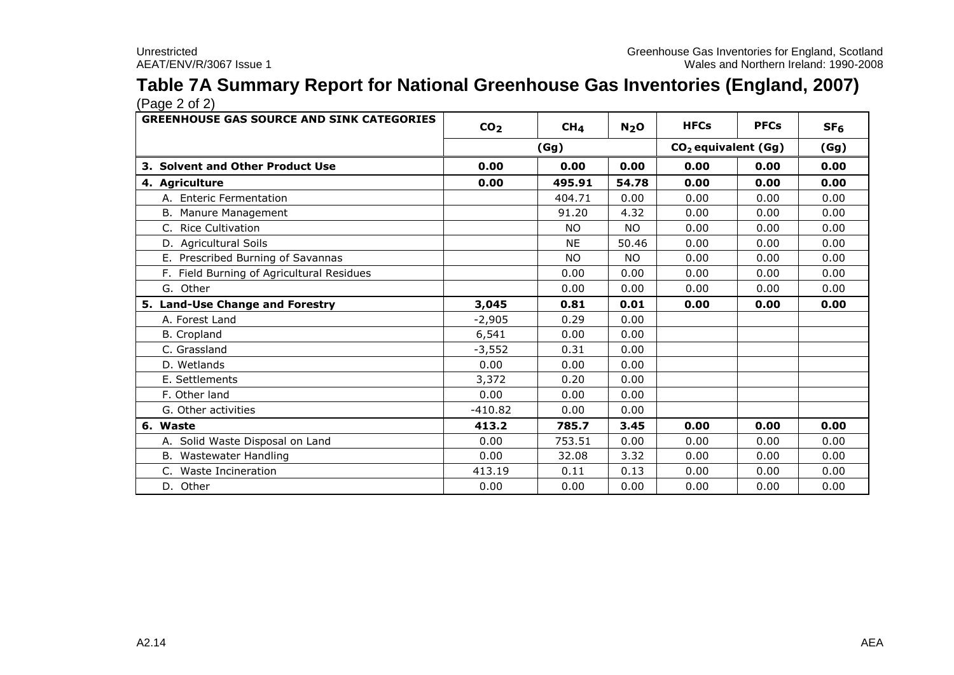### **Table 7A Summary Report for National Greenhouse Gas Inventories (England, 2007)** (Page 2 of 2)

| <b>GREENHOUSE GAS SOURCE AND SINK CATEGORIES</b> | CO <sub>2</sub> | CH <sub>4</sub> | N <sub>2</sub> O                | <b>HFCs</b> | <b>PFCs</b> | SF <sub>6</sub> |
|--------------------------------------------------|-----------------|-----------------|---------------------------------|-------------|-------------|-----------------|
|                                                  |                 | (Gg)            | CO <sub>2</sub> equivalent (Gg) |             |             | (Gg)            |
| 3. Solvent and Other Product Use                 | 0.00            | 0.00            | 0.00                            | 0.00        | 0.00        | 0.00            |
| 4. Agriculture                                   | 0.00            | 495.91          | 54.78                           | 0.00        | 0.00        | 0.00            |
| A. Enteric Fermentation                          |                 | 404.71          | 0.00                            | 0.00        | 0.00        | 0.00            |
| B. Manure Management                             |                 | 91.20           | 4.32                            | 0.00        | 0.00        | 0.00            |
| C. Rice Cultivation                              |                 | <b>NO</b>       | <b>NO</b>                       | 0.00        | 0.00        | 0.00            |
| D. Agricultural Soils                            |                 | <b>NE</b>       | 50.46                           | 0.00        | 0.00        | 0.00            |
| E. Prescribed Burning of Savannas                |                 | <b>NO</b>       | <b>NO</b>                       | 0.00        | 0.00        | 0.00            |
| F. Field Burning of Agricultural Residues        |                 | 0.00            | 0.00                            | 0.00        | 0.00        | 0.00            |
| G. Other                                         |                 | 0.00            | 0.00                            | 0.00        | 0.00        | 0.00            |
| 5. Land-Use Change and Forestry                  | 3,045           | 0.81            | 0.01                            | 0.00        | 0.00        | 0.00            |
| A. Forest Land                                   | $-2,905$        | 0.29            | 0.00                            |             |             |                 |
| <b>B.</b> Cropland                               | 6,541           | 0.00            | 0.00                            |             |             |                 |
| C. Grassland                                     | $-3,552$        | 0.31            | 0.00                            |             |             |                 |
| D. Wetlands                                      | 0.00            | 0.00            | 0.00                            |             |             |                 |
| E. Settlements                                   | 3,372           | 0.20            | 0.00                            |             |             |                 |
| F. Other land                                    | 0.00            | 0.00            | 0.00                            |             |             |                 |
| G. Other activities                              | $-410.82$       | 0.00            | 0.00                            |             |             |                 |
| 6. Waste                                         | 413.2           | 785.7           | 3.45                            | 0.00        | 0.00        | 0.00            |
| A. Solid Waste Disposal on Land                  | 0.00            | 753.51          | 0.00                            | 0.00        | 0.00        | 0.00            |
| B. Wastewater Handling                           | 0.00            | 32.08           | 3.32                            | 0.00        | 0.00        | 0.00            |
| C. Waste Incineration                            | 413.19          | 0.11            | 0.13                            | 0.00        | 0.00        | 0.00            |
| D. Other                                         | 0.00            | 0.00            | 0.00                            | 0.00        | 0.00        | 0.00            |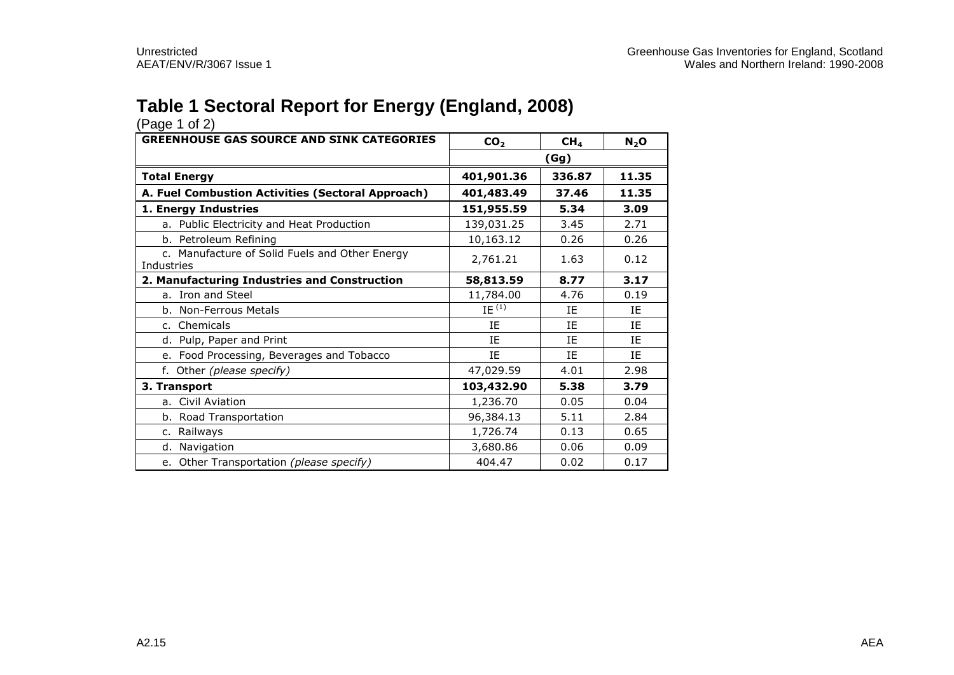## **Table 1 Sectoral Report for Energy (England, 2008)**

| (Page 1 of 2)                                                |                 |                 |         |
|--------------------------------------------------------------|-----------------|-----------------|---------|
| <b>GREENHOUSE GAS SOURCE AND SINK CATEGORIES</b>             | CO <sub>2</sub> | CH <sub>4</sub> | $N_2$ O |
|                                                              |                 | (Gg)            |         |
| <b>Total Energy</b>                                          | 401,901.36      | 336.87          | 11.35   |
| A. Fuel Combustion Activities (Sectoral Approach)            | 401,483.49      | 37.46           | 11.35   |
| 1. Energy Industries                                         | 151,955.59      | 5.34            | 3.09    |
| a. Public Electricity and Heat Production                    | 139,031.25      | 3.45            | 2.71    |
| b. Petroleum Refining                                        | 10,163.12       | 0.26            | 0.26    |
| c. Manufacture of Solid Fuels and Other Energy<br>Industries | 2,761.21        | 1.63            | 0.12    |
| 2. Manufacturing Industries and Construction                 | 58,813.59       | 8.77            | 3.17    |
| a. Iron and Steel                                            | 11,784.00       | 4.76            | 0.19    |
| b. Non-Ferrous Metals                                        | IE $(1)$        | ΙF              | ΙF      |
| c. Chemicals                                                 | IE              | ΙE              | IE      |
| d. Pulp, Paper and Print                                     | ΙE              | IE              | IE      |
| e. Food Processing, Beverages and Tobacco                    | ΙE              | ΙE              | IE      |
| f. Other (please specify)                                    | 47,029.59       | 4.01            | 2.98    |
| 3. Transport                                                 | 103,432.90      | 5.38            | 3.79    |
| a. Civil Aviation                                            | 1,236.70        | 0.05            | 0.04    |
| b. Road Transportation                                       | 96,384.13       | 5.11            | 2.84    |
| c. Railways                                                  | 1,726.74        | 0.13            | 0.65    |
| d. Navigation                                                | 3,680.86        | 0.06            | 0.09    |
| e. Other Transportation (please specify)                     | 404.47          | 0.02            | 0.17    |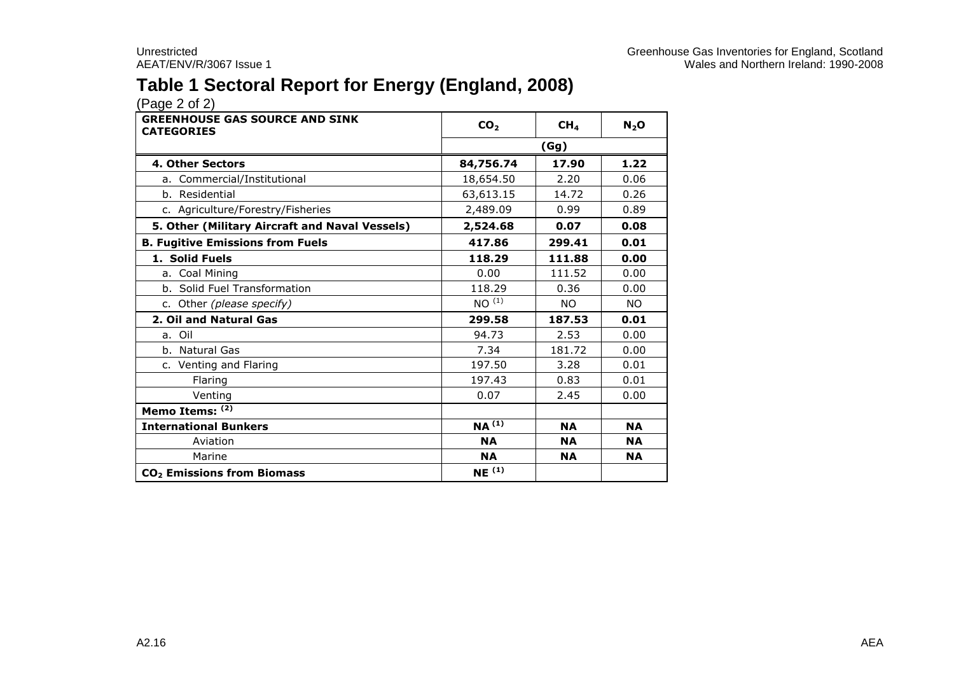## **Table 1 Sectoral Report for Energy (England, 2008)**

| <b>GREENHOUSE GAS SOURCE AND SINK</b><br><b>CATEGORIES</b> | CO <sub>2</sub>   | CH <sub>4</sub> | $N_2$ O   |
|------------------------------------------------------------|-------------------|-----------------|-----------|
|                                                            | (Gg)              |                 |           |
| 4. Other Sectors                                           | 84,756.74         | 17.90           | 1.22      |
| a. Commercial/Institutional                                | 18,654.50         | 2.20            | 0.06      |
| b. Residential                                             | 63,613.15         | 14.72           | 0.26      |
| c. Agriculture/Forestry/Fisheries                          | 2,489.09          | 0.99            | 0.89      |
| 5. Other (Military Aircraft and Naval Vessels)             | 2,524.68          | 0.07            | 0.08      |
| <b>B. Fugitive Emissions from Fuels</b>                    | 417.86            | 299.41          | 0.01      |
| 1. Solid Fuels                                             | 118.29            | 111.88          | 0.00      |
| a. Coal Mining                                             | 0.00              | 111.52          | 0.00      |
| b. Solid Fuel Transformation                               | 118.29            | 0.36            | 0.00      |
| c. Other (please specify)                                  | NO <sup>(1)</sup> | <b>NO</b>       | NO.       |
| 2. Oil and Natural Gas                                     | 299.58            | 187.53          | 0.01      |
| a. Oil                                                     | 94.73             | 2.53            | 0.00      |
| b. Natural Gas                                             | 7.34              | 181.72          | 0.00      |
| c. Venting and Flaring                                     | 197.50            | 3.28            | 0.01      |
| Flaring                                                    | 197.43            | 0.83            | 0.01      |
| Venting                                                    | 0.07              | 2.45            | 0.00      |
| Memo Items: (2)                                            |                   |                 |           |
| <b>International Bunkers</b>                               | $NA^{(1)}$        | <b>NA</b>       | <b>NA</b> |
| Aviation                                                   | <b>NA</b>         | <b>NA</b>       | <b>NA</b> |
| Marine                                                     | <b>NA</b>         | <b>NA</b>       | <b>NA</b> |
| CO <sub>2</sub> Emissions from Biomass                     | NE <sup>(1)</sup> |                 |           |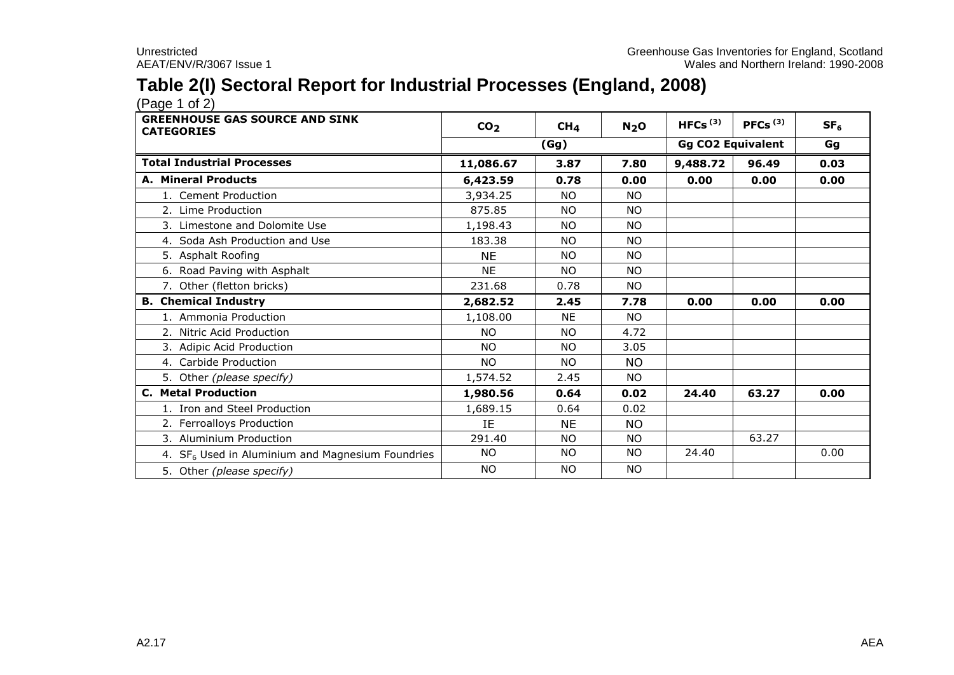## **Table 2(I) Sectoral Report for Industrial Processes (England, 2008)**

| <b>GREENHOUSE GAS SOURCE AND SINK</b><br><b>CATEGORIES</b>   | CO <sub>2</sub> | CH <sub>4</sub> | N <sub>2</sub> O | HFCs $(3)$ | PFCs $(3)$               | SF <sub>6</sub> |
|--------------------------------------------------------------|-----------------|-----------------|------------------|------------|--------------------------|-----------------|
|                                                              |                 | (Gg)            |                  |            | <b>Gg CO2 Equivalent</b> |                 |
| <b>Total Industrial Processes</b>                            | 11,086.67       | 3.87            | 7.80             | 9,488.72   | 96.49                    | 0.03            |
| <b>A. Mineral Products</b>                                   | 6,423.59        | 0.78            | 0.00             | 0.00       | 0.00                     | 0.00            |
| 1. Cement Production                                         | 3,934.25        | NO.             | NO.              |            |                          |                 |
| 2. Lime Production                                           | 875.85          | NO.             | NO.              |            |                          |                 |
| 3. Limestone and Dolomite Use                                | 1,198.43        | <b>NO</b>       | <b>NO</b>        |            |                          |                 |
| 4. Soda Ash Production and Use                               | 183.38          | NO.             | <b>NO</b>        |            |                          |                 |
| 5. Asphalt Roofing                                           | <b>NF</b>       | <b>NO</b>       | NO.              |            |                          |                 |
| 6. Road Paving with Asphalt                                  | <b>NE</b>       | NO.             | NO.              |            |                          |                 |
| 7. Other (fletton bricks)                                    | 231.68          | 0.78            | NO.              |            |                          |                 |
| <b>B. Chemical Industry</b>                                  | 2,682.52        | 2.45            | 7.78             | 0.00       | 0.00                     | 0.00            |
| 1. Ammonia Production                                        | 1,108.00        | <b>NE</b>       | <b>NO</b>        |            |                          |                 |
| 2. Nitric Acid Production                                    | NO.             | NO.             | 4.72             |            |                          |                 |
| 3. Adipic Acid Production                                    | NO.             | NO.             | 3.05             |            |                          |                 |
| 4. Carbide Production                                        | NO.             | NO.             | NO.              |            |                          |                 |
| 5. Other (please specify)                                    | 1,574.52        | 2.45            | NO.              |            |                          |                 |
| <b>C. Metal Production</b>                                   | 1,980.56        | 0.64            | 0.02             | 24.40      | 63.27                    | 0.00            |
| 1. Iron and Steel Production                                 | 1,689.15        | 0.64            | 0.02             |            |                          |                 |
| 2. Ferroalloys Production                                    | ΙE              | <b>NE</b>       | NO.              |            |                          |                 |
| 3. Aluminium Production                                      | 291.40          | NO.             | NO.              |            | 63.27                    |                 |
| 4. SF <sub>6</sub> Used in Aluminium and Magnesium Foundries | <b>NO</b>       | <b>NO</b>       | NO.              | 24.40      |                          | 0.00            |
| 5. Other (please specify)                                    | <b>NO</b>       | <b>NO</b>       | <b>NO</b>        |            |                          |                 |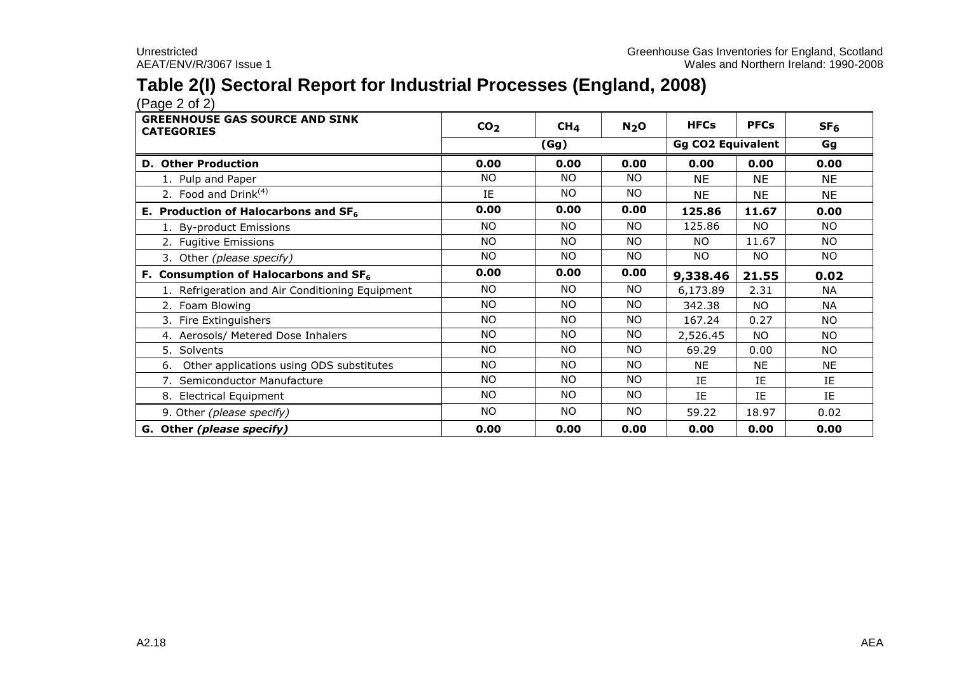## **Table 2(I) Sectoral Report for Industrial Processes (England, 2008)**

 $(Pa^2 \circ 2)$ 

| <b>GREENHOUSE GAS SOURCE AND SINK</b><br><b>CATEGORIES</b> | CO <sub>2</sub> | CH <sub>4</sub> | N <sub>2</sub> O | <b>HFCs</b>              | <b>PFCs</b> | SF <sub>6</sub> |
|------------------------------------------------------------|-----------------|-----------------|------------------|--------------------------|-------------|-----------------|
|                                                            |                 | (Gg)            |                  | <b>Gg CO2 Equivalent</b> |             | Gg              |
| <b>D. Other Production</b>                                 | 0.00            | 0.00            | 0.00             | 0.00                     | 0.00        | 0.00            |
| 1. Pulp and Paper                                          | NO.             | NO.             | NO.              | <b>NE</b>                | <b>NE</b>   | <b>NE</b>       |
| 2. Food and $Drink(4)$                                     | IE              | NO.             | <b>NO</b>        | <b>NE</b>                | <b>NE</b>   | <b>NE</b>       |
| E. Production of Halocarbons and $SF6$                     | 0.00            | 0.00            | 0.00             | 125.86                   | 11.67       | 0.00            |
| 1. By-product Emissions                                    | NO.             | NO.             | <b>NO</b>        | 125.86                   | NO.         | <b>NO</b>       |
| 2. Fugitive Emissions                                      | <b>NO</b>       | NO.             | <b>NO</b>        | NO.                      | 11.67       | NO.             |
| 3. Other (please specify)                                  | NO.             | NO.             | <b>NO</b>        | NO.                      | NO.         | NO.             |
| F. Consumption of Halocarbons and SF <sub>6</sub>          | 0.00            | 0.00            | 0.00             | 9,338.46                 | 21.55       | 0.02            |
| 1. Refrigeration and Air Conditioning Equipment            | NO.             | NO.             | NO.              | 6,173.89                 | 2.31        | <b>NA</b>       |
| 2. Foam Blowing                                            | NO.             | NO.             | <b>NO</b>        | 342.38                   | <b>NO</b>   | <b>NA</b>       |
| 3. Fire Extinguishers                                      | NO.             | NO.             | <b>NO</b>        | 167.24                   | 0.27        | <b>NO</b>       |
| 4. Aerosols/ Metered Dose Inhalers                         | NO.             | NO.             | <b>NO</b>        | 2,526.45                 | <b>NO</b>   | <b>NO</b>       |
| 5. Solvents                                                | NO.             | NO.             | <b>NO</b>        | 69.29                    | 0.00        | NO.             |
| Other applications using ODS substitutes<br>6.             | NO.             | NO.             | NO.              | <b>NE</b>                | <b>NE</b>   | <b>NE</b>       |
| 7. Semiconductor Manufacture                               | NO.             | NO.             | NO.              | IE                       | IE          | IE              |
| 8. Electrical Equipment                                    | NO.             | NO.             | <b>NO</b>        | IE                       | IE          | IE              |
| 9. Other (please specify)                                  | NO.             | NO.             | NO.              | 59.22                    | 18.97       | 0.02            |
| G. Other (please specify)                                  | 0.00            | 0.00            | 0.00             | 0.00                     | 0.00        | 0.00            |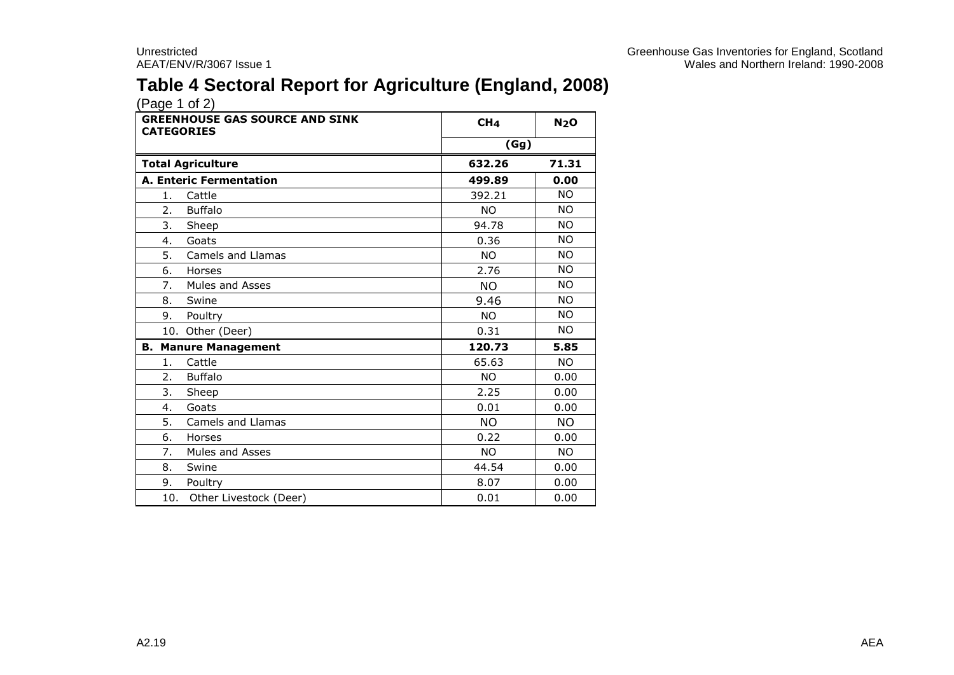## **Table 4 Sectoral Report for Agriculture (England, 2008)**

| <b>GREENHOUSE GAS SOURCE AND SINK</b><br><b>CATEGORIES</b> | CH <sub>4</sub> | N <sub>2</sub> O |
|------------------------------------------------------------|-----------------|------------------|
|                                                            | (Gg)            |                  |
| <b>Total Agriculture</b>                                   | 632.26          | 71.31            |
| <b>A. Enteric Fermentation</b>                             | 499.89          | 0.00             |
| Cattle<br>1.                                               | 392.21          | <b>NO</b>        |
| <b>Buffalo</b><br>2.                                       | NO.             | <b>NO</b>        |
| 3.<br>Sheep                                                | 94.78           | <b>NO</b>        |
| 4.<br>Goats                                                | 0.36            | <b>NO</b>        |
| 5.<br>Camels and Llamas                                    | <b>NO</b>       | <b>NO</b>        |
| 6.<br>Horses                                               | 2.76            | <b>NO</b>        |
| 7.<br>Mules and Asses                                      | <b>NO</b>       | <b>NO</b>        |
| 8.<br>Swine                                                | 9.46            | <b>NO</b>        |
| 9.<br>Poultry                                              | <b>NO</b>       | <b>NO</b>        |
| 10. Other (Deer)                                           | 0.31            | <b>NO</b>        |
| <b>B. Manure Management</b>                                | 120.73          | 5.85             |
| Cattle<br>1.                                               | 65.63           | <b>NO</b>        |
| <b>Buffalo</b><br>2.                                       | NO.             | 0.00             |
| 3.<br>Sheep                                                | 2.25            | 0.00             |
| Goats<br>4.                                                | 0.01            | 0.00             |
| 5.<br>Camels and Llamas                                    | NO.             | NO.              |
| 6.<br>Horses                                               | 0.22            | 0.00             |
| 7.<br><b>Mules and Asses</b>                               | NO.             | <b>NO</b>        |
| 8.<br>Swine                                                | 44.54           | 0.00             |
| 9.<br>Poultry                                              | 8.07            | 0.00             |
| 10.<br>Other Livestock (Deer)                              | 0.01            | 0.00             |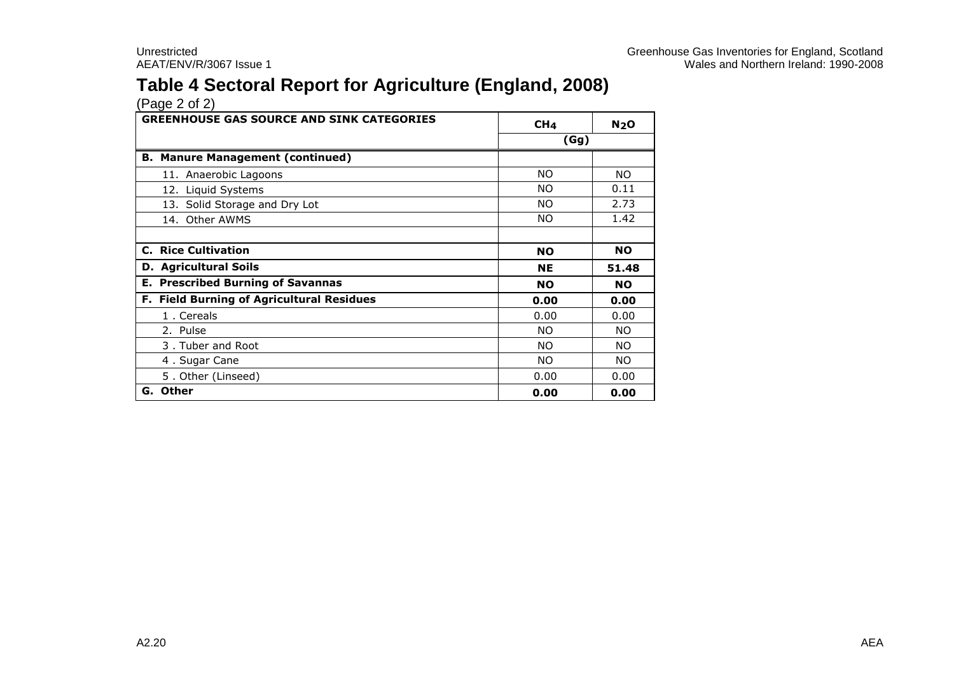## **Table 4 Sectoral Report for Agriculture (England, 2008)**

| <b>GREENHOUSE GAS SOURCE AND SINK CATEGORIES</b> | CH <sub>4</sub> | N <sub>2</sub> O |
|--------------------------------------------------|-----------------|------------------|
|                                                  | (Gg)            |                  |
| <b>B. Manure Management (continued)</b>          |                 |                  |
| 11. Anaerobic Lagoons                            | <b>NO</b>       | <b>NO</b>        |
| 12. Liquid Systems                               | <b>NO</b>       | 0.11             |
| 13. Solid Storage and Dry Lot                    | <b>NO</b>       | 2.73             |
| Other AWMS<br>14.                                | NO.             | 1.42             |
|                                                  |                 |                  |
| <b>C. Rice Cultivation</b>                       | <b>NO</b>       | <b>NO</b>        |
| <b>D.</b> Agricultural Soils                     | <b>NE</b>       | 51.48            |
| <b>E. Prescribed Burning of Savannas</b>         | <b>NO</b>       | <b>NO</b>        |
| F. Field Burning of Agricultural Residues        | 0.00            | 0.00             |
| 1. Cereals                                       | 0.00            | 0.00             |
| 2. Pulse                                         | NO.             | NO.              |
| 3. Tuber and Root                                | NO.             | NO.              |
| 4. Sugar Cane                                    | NO.             | NO.              |
| 5. Other (Linseed)                               | 0.00            | 0.00             |
| G. Other                                         | 0.00            | 0.00             |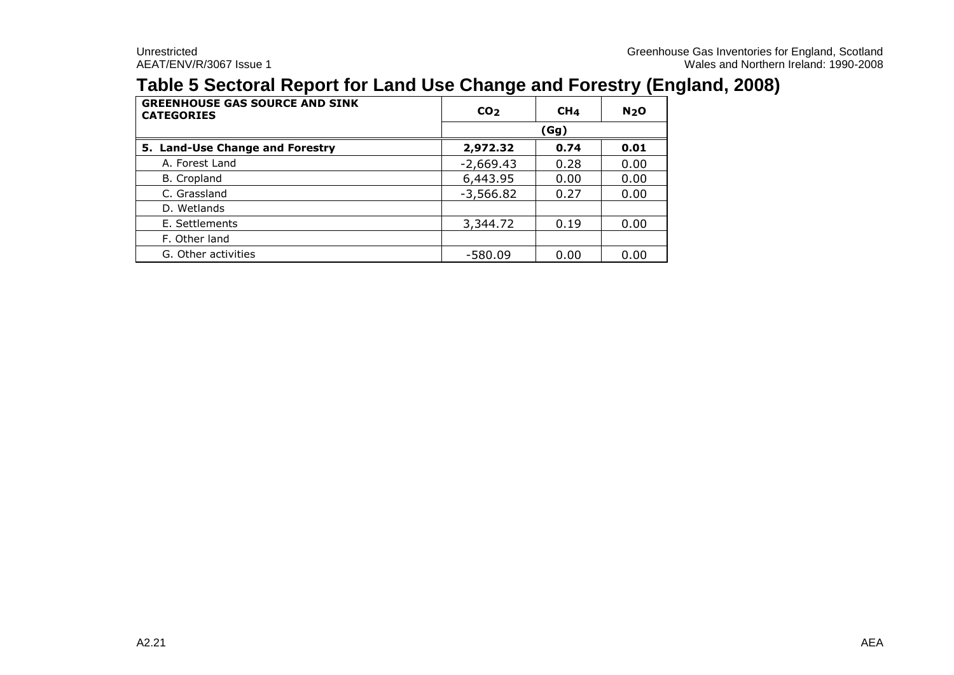## **Table 5 Sectoral Report for Land Use Change and Forestry (England, 2008)**

| <b>GREENHOUSE GAS SOURCE AND SINK</b><br><b>CATEGORIES</b> | CO <sub>2</sub> | CH <sub>4</sub> | N <sub>2</sub> O |  |
|------------------------------------------------------------|-----------------|-----------------|------------------|--|
|                                                            | (Gg)            |                 |                  |  |
| 5. Land-Use Change and Forestry                            | 2,972.32        | 0.74            | 0.01             |  |
| A. Forest Land                                             | $-2,669.43$     | 0.28            | 0.00             |  |
| B. Cropland                                                | 6,443.95        | 0.00            | 0.00             |  |
| C. Grassland                                               | $-3,566.82$     | 0.27            | 0.00             |  |
| D. Wetlands                                                |                 |                 |                  |  |
| E. Settlements                                             | 3,344.72        | 0.19            | 0.00             |  |
| F. Other land                                              |                 |                 |                  |  |
| G. Other activities                                        | $-580.09$       | 0.00            | 0.00             |  |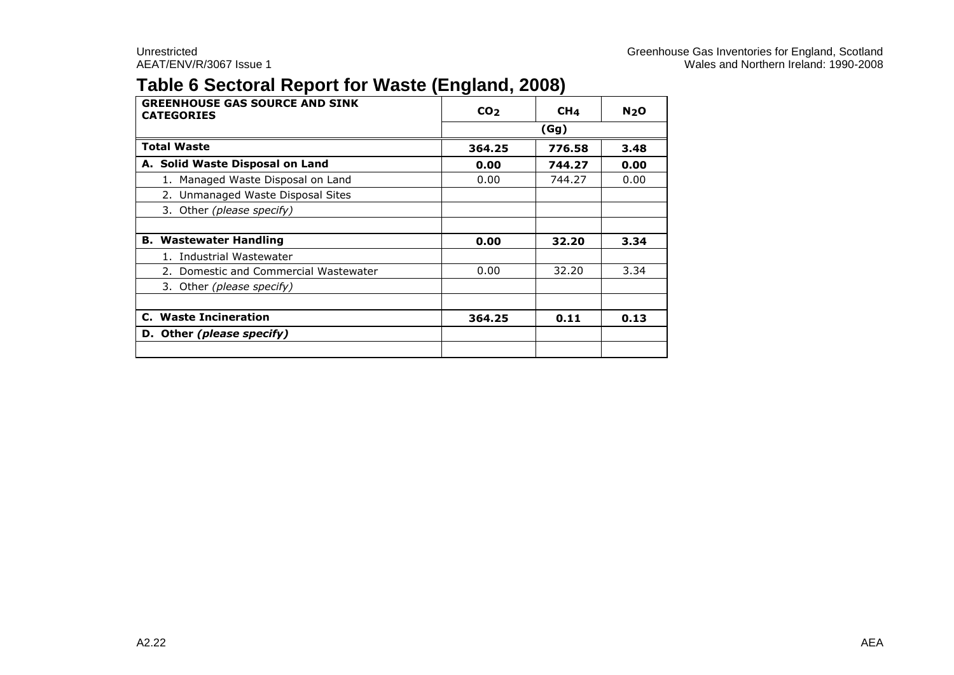## **Table 6 Sectoral Report for Waste (England, 2008)**

| <b>GREENHOUSE GAS SOURCE AND SINK</b><br><b>CATEGORIES</b> | CO <sub>2</sub> | CH <sub>4</sub> | N <sub>2</sub> O |  |
|------------------------------------------------------------|-----------------|-----------------|------------------|--|
|                                                            | (Gg)            |                 |                  |  |
| <b>Total Waste</b>                                         | 364.25          | 776.58          | 3.48             |  |
| A. Solid Waste Disposal on Land                            | 0.00            | 744.27          | 0.00             |  |
| 1. Managed Waste Disposal on Land                          | 0.00            | 744.27          | 0.00             |  |
| 2. Unmanaged Waste Disposal Sites                          |                 |                 |                  |  |
| 3. Other (please specify)                                  |                 |                 |                  |  |
|                                                            |                 |                 |                  |  |
| <b>B. Wastewater Handling</b>                              | 0.00            | 32.20           | 3.34             |  |
| 1. Industrial Wastewater                                   |                 |                 |                  |  |
| 2. Domestic and Commercial Wastewater                      | 0.00            | 32.20           | 3.34             |  |
| 3. Other (please specify)                                  |                 |                 |                  |  |
|                                                            |                 |                 |                  |  |
| <b>C.</b> Waste Incineration                               | 364.25          | 0.11            | 0.13             |  |
| D. Other (please specify)                                  |                 |                 |                  |  |
|                                                            |                 |                 |                  |  |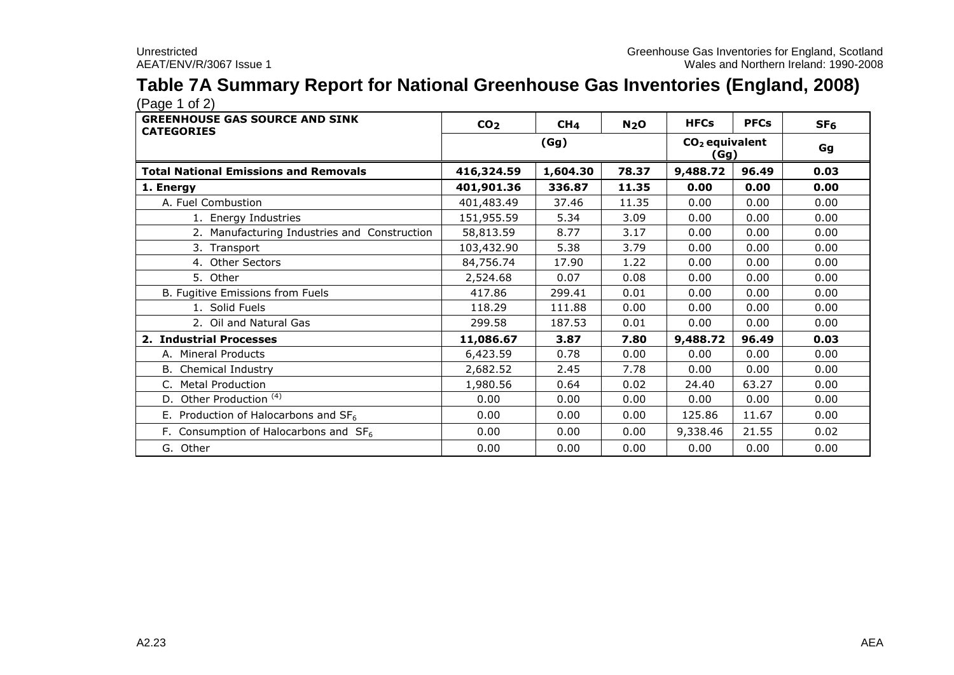# **Table 7A Summary Report for National Greenhouse Gas Inventories (England, 2008)**

| <b>GREENHOUSE GAS SOURCE AND SINK</b><br><b>CATEGORIES</b> | CO <sub>2</sub> | CH <sub>4</sub> | N <sub>2</sub> O | <b>HFCs</b> | <b>PFCs</b>              | SF <sub>6</sub> |  |
|------------------------------------------------------------|-----------------|-----------------|------------------|-------------|--------------------------|-----------------|--|
|                                                            |                 | (Gg)            |                  |             | $CO2$ equivalent<br>(Gg) |                 |  |
| <b>Total National Emissions and Removals</b>               | 416,324.59      | 1,604.30        | 78.37            | 9,488.72    | 96.49                    | 0.03            |  |
| 1. Energy                                                  | 401,901.36      | 336.87          | 11.35            | 0.00        | 0.00                     | 0.00            |  |
| A. Fuel Combustion                                         | 401,483.49      | 37.46           | 11.35            | 0.00        | 0.00                     | 0.00            |  |
| 1. Energy Industries                                       | 151,955.59      | 5.34            | 3.09             | 0.00        | 0.00                     | 0.00            |  |
| 2. Manufacturing Industries and Construction               | 58,813.59       | 8.77            | 3.17             | 0.00        | 0.00                     | 0.00            |  |
| 3. Transport                                               | 103,432.90      | 5.38            | 3.79             | 0.00        | 0.00                     | 0.00            |  |
| 4. Other Sectors                                           | 84,756.74       | 17.90           | 1.22             | 0.00        | 0.00                     | 0.00            |  |
| 5. Other                                                   | 2,524.68        | 0.07            | 0.08             | 0.00        | 0.00                     | 0.00            |  |
| B. Fugitive Emissions from Fuels                           | 417.86          | 299.41          | 0.01             | 0.00        | 0.00                     | 0.00            |  |
| 1. Solid Fuels                                             | 118.29          | 111.88          | 0.00             | 0.00        | 0.00                     | 0.00            |  |
| 2. Oil and Natural Gas                                     | 299.58          | 187.53          | 0.01             | 0.00        | 0.00                     | 0.00            |  |
| 2. Industrial Processes                                    | 11,086.67       | 3.87            | 7.80             | 9,488.72    | 96.49                    | 0.03            |  |
| A. Mineral Products                                        | 6,423.59        | 0.78            | 0.00             | 0.00        | 0.00                     | 0.00            |  |
| <b>B.</b> Chemical Industry                                | 2,682.52        | 2.45            | 7.78             | 0.00        | 0.00                     | 0.00            |  |
| C. Metal Production                                        | 1,980.56        | 0.64            | 0.02             | 24.40       | 63.27                    | 0.00            |  |
| Other Production <sup>(4)</sup><br>D.                      | 0.00            | 0.00            | 0.00             | 0.00        | 0.00                     | 0.00            |  |
| E. Production of Halocarbons and $SF6$                     | 0.00            | 0.00            | 0.00             | 125.86      | 11.67                    | 0.00            |  |
| F. Consumption of Halocarbons and $SF6$                    | 0.00            | 0.00            | 0.00             | 9,338.46    | 21.55                    | 0.02            |  |
| G. Other                                                   | 0.00            | 0.00            | 0.00             | 0.00        | 0.00                     | 0.00            |  |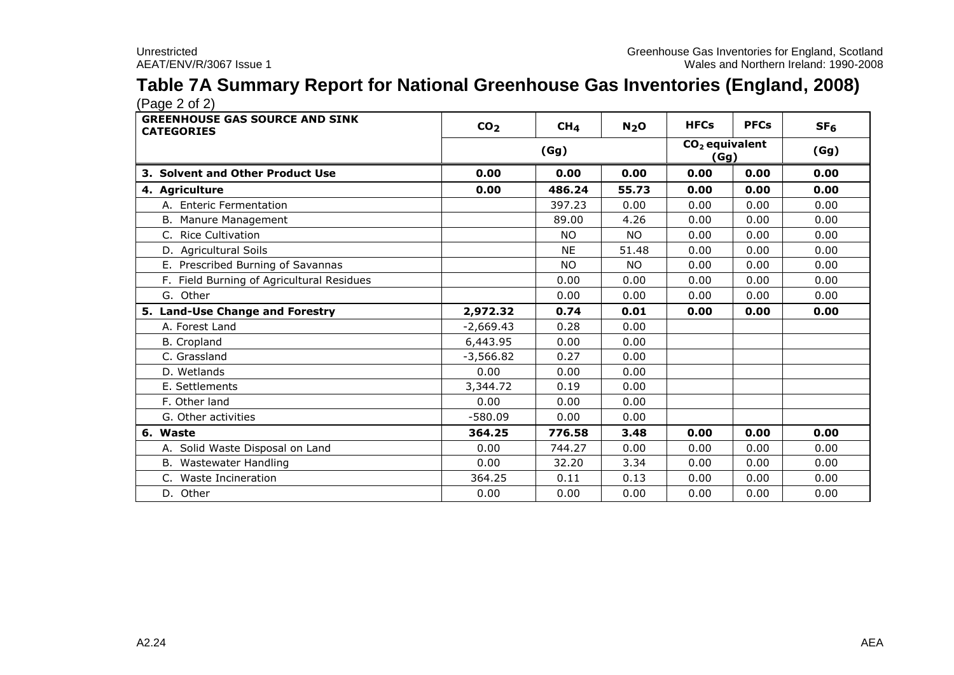# **Table 7A Summary Report for National Greenhouse Gas Inventories (England, 2008)**

| <b>GREENHOUSE GAS SOURCE AND SINK</b><br><b>CATEGORIES</b> | CO <sub>2</sub> | CH <sub>4</sub> | N <sub>2</sub> O | <b>HFCs</b> | <b>PFCs</b>              | SF <sub>6</sub> |  |
|------------------------------------------------------------|-----------------|-----------------|------------------|-------------|--------------------------|-----------------|--|
|                                                            |                 | (Gg)            |                  |             | $CO2$ equivalent<br>(Gg) |                 |  |
| 3. Solvent and Other Product Use                           | 0.00            | 0.00            | 0.00             | 0.00        | 0.00                     | 0.00            |  |
| 4. Agriculture                                             | 0.00            | 486.24          | 55.73            | 0.00        | 0.00                     | 0.00            |  |
| A. Enteric Fermentation                                    |                 | 397.23          | 0.00             | 0.00        | 0.00                     | 0.00            |  |
| B. Manure Management                                       |                 | 89.00           | 4.26             | 0.00        | 0.00                     | 0.00            |  |
| C. Rice Cultivation                                        |                 | <b>NO</b>       | <b>NO</b>        | 0.00        | 0.00                     | 0.00            |  |
| D. Agricultural Soils                                      |                 | <b>NE</b>       | 51.48            | 0.00        | 0.00                     | 0.00            |  |
| E. Prescribed Burning of Savannas                          |                 | <b>NO</b>       | <b>NO</b>        | 0.00        | 0.00                     | 0.00            |  |
| F. Field Burning of Agricultural Residues                  |                 | 0.00            | 0.00             | 0.00        | 0.00                     | 0.00            |  |
| G. Other                                                   |                 | 0.00            | 0.00             | 0.00        | 0.00                     | 0.00            |  |
| 5. Land-Use Change and Forestry                            | 2,972.32        | 0.74            | 0.01             | 0.00        | 0.00                     | 0.00            |  |
| A. Forest Land                                             | $-2,669.43$     | 0.28            | 0.00             |             |                          |                 |  |
| <b>B.</b> Cropland                                         | 6,443.95        | 0.00            | 0.00             |             |                          |                 |  |
| C. Grassland                                               | $-3,566.82$     | 0.27            | 0.00             |             |                          |                 |  |
| D. Wetlands                                                | 0.00            | 0.00            | 0.00             |             |                          |                 |  |
| E. Settlements                                             | 3,344.72        | 0.19            | 0.00             |             |                          |                 |  |
| F. Other land                                              | 0.00            | 0.00            | 0.00             |             |                          |                 |  |
| G. Other activities                                        | $-580.09$       | 0.00            | 0.00             |             |                          |                 |  |
| 6. Waste                                                   | 364.25          | 776.58          | 3.48             | 0.00        | 0.00                     | 0.00            |  |
| A. Solid Waste Disposal on Land                            | 0.00            | 744.27          | 0.00             | 0.00        | 0.00                     | 0.00            |  |
| B. Wastewater Handling                                     | 0.00            | 32.20           | 3.34             | 0.00        | 0.00                     | 0.00            |  |
| Waste Incineration                                         | 364.25          | 0.11            | 0.13             | 0.00        | 0.00                     | 0.00            |  |
| D. Other                                                   | 0.00            | 0.00            | 0.00             | 0.00        | 0.00                     | 0.00            |  |